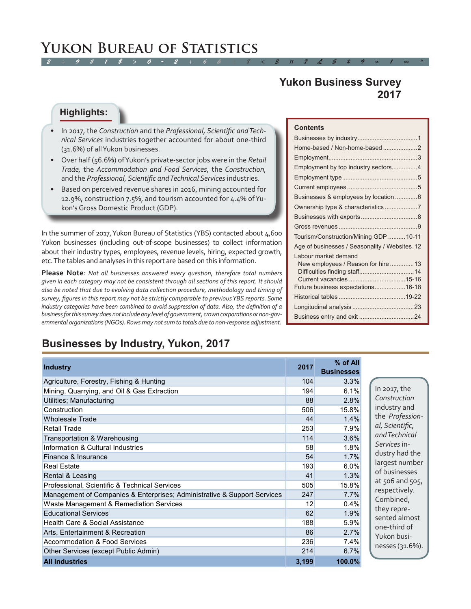# *2 ÷ 9 # 1 \$ > 0 - 2 + 6 & ± 8 < 3 π 7 £ 5 ‡ 9 ≈ 1 ∞ ^* **Yukon Bureau of Statistics**

# **Yukon Business Survey 2017**

#### **Highlights:**

- • In 2017, the *Construction* and the *Professional, Scientific and Technical Services* industries together accounted for about one-third (31.6%) of all Yukon businesses.
- • Over half (56.6%) of Yukon's private-sector jobs were in the *Retail Trade,* the *Accommodation and Food Services,* the *Construction,*  and the *Professional, Scientific and Technical Services* industries.
- Based on perceived revenue shares in 2016, mining accounted for 12.9%, construction 7.5%, and tourism accounted for 4.4% of Yukon's Gross Domestic Product (GDP).

In the summer of 2017, Yukon Bureau of Statistics (YBS) contacted about 4,600 Yukon businesses (including out-of-scope businesses) to collect information about their industry types, employees, revenue levels, hiring, expected growth, etc. The tables and analyses in this report are based on this information.

**Please Note***: Not all businesses answered every question, therefore total numbers given in each category may not be consistent through all sections of this report. It should also be noted that due to evolving data collection procedure, methodology and timing of survey, figures in this report may not be strictly comparable to previous YBS reports. Some industry categories have been combined to avoid suppression of data. Also, the definition of a business for this survey does not include any level of government, crown corporations or non-governmental organizations (NGOs). Rows may not sum to totals due to non-response adjustment.*

#### **Contents**

| Home-based / Non-home-based 2                 |
|-----------------------------------------------|
|                                               |
| Employment by top industry sectors4           |
|                                               |
|                                               |
| Businesses & employees by location  6         |
|                                               |
|                                               |
|                                               |
| Tourism/Construction/Mining GDP 10-11         |
| Age of businesses / Seasonality / Websites.12 |
| Labour market demand                          |
| New employees / Reason for hire 13            |
|                                               |
|                                               |
| Future business expectations16-18             |
|                                               |
|                                               |
|                                               |

# **Businesses by Industry, Yukon, 2017**

| <b>Industry</b>                                                          | 2017  | % of All<br><b>Businesses</b> |
|--------------------------------------------------------------------------|-------|-------------------------------|
| Agriculture, Forestry, Fishing & Hunting                                 | 104   | 3.3%                          |
| Mining, Quarrying, and Oil & Gas Extraction                              | 194   | 6.1%                          |
| Utilities; Manufacturing                                                 | 88    | 2.8%                          |
| Construction                                                             | 506   | 15.8%                         |
| <b>Wholesale Trade</b>                                                   | 44    | 1.4%                          |
| <b>Retail Trade</b>                                                      | 253   | 7.9%                          |
| Transportation & Warehousing                                             | 114   | 3.6%                          |
| Information & Cultural Industries                                        | 58    | 1.8%                          |
| Finance & Insurance                                                      | 54    | 1.7%                          |
| <b>Real Estate</b>                                                       | 193   | 6.0%                          |
| Rental & Leasing                                                         | 41    | 1.3%                          |
| Professional, Scientific & Technical Services                            | 505   | 15.8%                         |
| Management of Companies & Enterprises; Administrative & Support Services | 247   | 7.7%                          |
| Waste Management & Remediation Services                                  | 12    | 0.4%                          |
| <b>Educational Services</b>                                              | 62    | 1.9%                          |
| Health Care & Social Assistance                                          | 188   | 5.9%                          |
| Arts, Entertainment & Recreation                                         | 86    | 2.7%                          |
| Accommodation & Food Services                                            | 236   | $7.4\%$                       |
| Other Services (except Public Admin)                                     | 214   | 6.7%                          |
| <b>All Industries</b>                                                    | 3,199 | 100.0%                        |

In 2017, the *Construction*  industry and the *Professional, Scientific, and Technical Services* industry had the largest number of businesses at 506 and 505, respectively. Combined, they represented almost one-third of Yukon businesses (31.6%).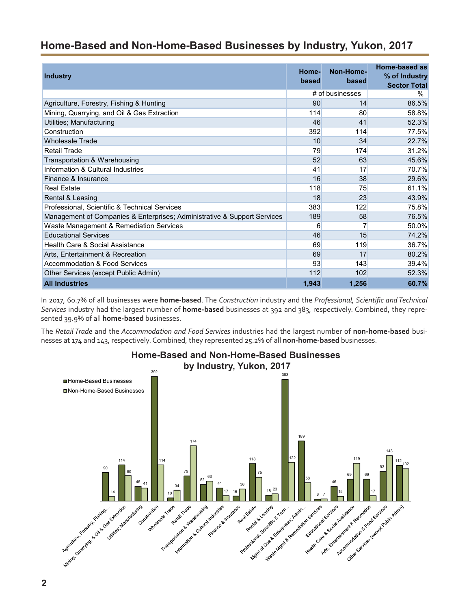# <span id="page-1-0"></span>**Home-Based and Non-Home-Based Businesses by Industry, Yukon, 2017**

| <b>Industry</b>                                                          | Home-<br>based | Non-Home-<br>based | Home-based as<br>% of Industry<br><b>Sector Total</b> |
|--------------------------------------------------------------------------|----------------|--------------------|-------------------------------------------------------|
|                                                                          |                | # of businesses    | %                                                     |
| Agriculture, Forestry, Fishing & Hunting                                 | 90             | 14                 | 86.5%                                                 |
| Mining, Quarrying, and Oil & Gas Extraction                              | 114            | 80                 | 58.8%                                                 |
| Utilities; Manufacturing                                                 | 46             | 41                 | 52.3%                                                 |
| Construction                                                             | 392            | 114                | 77.5%                                                 |
| <b>Wholesale Trade</b>                                                   | 10             | 34                 | 22.7%                                                 |
| <b>Retail Trade</b>                                                      | 79             | 174                | 31.2%                                                 |
| Transportation & Warehousing                                             | 52             | 63                 | 45.6%                                                 |
| Information & Cultural Industries                                        | 41             | 17                 | 70.7%                                                 |
| Finance & Insurance                                                      | 16             | 38                 | 29.6%                                                 |
| <b>Real Estate</b>                                                       | 118            | 75                 | 61.1%                                                 |
| Rental & Leasing                                                         | 18             | 23                 | 43.9%                                                 |
| Professional, Scientific & Technical Services                            | 383            | 122                | 75.8%                                                 |
| Management of Companies & Enterprises; Administrative & Support Services | 189            | 58                 | 76.5%                                                 |
| Waste Management & Remediation Services                                  | 6              |                    | 50.0%                                                 |
| <b>Educational Services</b>                                              | 46             | 15                 | 74.2%                                                 |
| Health Care & Social Assistance                                          | 69             | 119                | 36.7%                                                 |
| Arts, Entertainment & Recreation                                         | 69             | 17                 | 80.2%                                                 |
| <b>Accommodation &amp; Food Services</b>                                 | 93             | 143                | 39.4%                                                 |
| Other Services (except Public Admin)                                     | 112            | 102                | 52.3%                                                 |
| <b>All Industries</b>                                                    | 1,943          | 1,256              | 60.7%                                                 |

In 2017, 60.7% of all businesses were **home-based**. The *Construction* industry and the *Professional, Scientific and Technical Services* industry had the largest number of **home-based** businesses at 392 and 383, respectively. Combined, they represented 39.9% of all **home-based** businesses.

The *Retail Trade* and the *Accommodation and Food Services* industries had the largest number of **non-home-based** businesses at 174 and 143, respectively. Combined, they represented 25.2% of all **non-home-based** businesses.



**Home-Based and Non-Home-Based Businesses**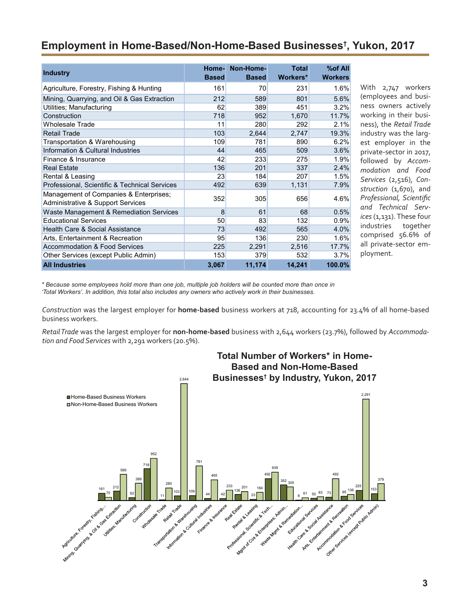# <span id="page-2-0"></span>**Employment in Home-Based/Non-Home-Based Businesses† , Yukon, 2017**

| <b>Industry</b>                                                             | Home-<br><b>Based</b> | Non-Home-<br><b>Based</b> | <b>Total</b><br>Workers* | %of All<br><b>Workers</b> |
|-----------------------------------------------------------------------------|-----------------------|---------------------------|--------------------------|---------------------------|
| Agriculture, Forestry, Fishing & Hunting                                    | 161                   | 70                        | 231                      | 1.6%                      |
| Mining, Quarrying, and Oil & Gas Extraction                                 | 212                   | 589                       | 801                      | 5.6%                      |
| Utilities; Manufacturing                                                    | 62                    | 389                       | 451                      | 3.2%                      |
| Construction                                                                | 718                   | 952                       | 1,670                    | 11.7%                     |
| <b>Wholesale Trade</b>                                                      | 11                    | 280                       | 292                      | 2.1%                      |
| <b>Retail Trade</b>                                                         | 103                   | 2,644                     | 2,747                    | 19.3%                     |
| Transportation & Warehousing                                                | 109                   | 781                       | 890                      | 6.2%                      |
| Information & Cultural Industries                                           | 44                    | 465                       | 509                      | 3.6%                      |
| Finance & Insurance                                                         | 42                    | 233                       | 275                      | 1.9%                      |
| <b>Real Estate</b>                                                          | 136                   | 201                       | 337                      | 2.4%                      |
| Rental & Leasing                                                            | 23                    | 184                       | 207                      | 1.5%                      |
| Professional, Scientific & Technical Services                               | 492                   | 639                       | 1,131                    | 7.9%                      |
| Management of Companies & Enterprises;<br>Administrative & Support Services | 352                   | 305                       | 656                      | 4.6%                      |
| Waste Management & Remediation Services                                     | 8                     | 61                        | 68                       | 0.5%                      |
| <b>Educational Services</b>                                                 | 50                    | 83                        | 132                      | 0.9%                      |
| Health Care & Social Assistance                                             | 73                    | 492                       | 565                      | 4.0%                      |
| Arts, Entertainment & Recreation                                            | 95                    | 136                       | 230                      | 1.6%                      |
| <b>Accommodation &amp; Food Services</b>                                    | 225                   | 2,291                     | 2,516                    | 17.7%                     |
| Other Services (except Public Admin)                                        | 153                   | 379                       | 532                      | 3.7%                      |
| <b>All Industries</b>                                                       | 3,067                 | 11,174                    | 14,241                   | 100.0%                    |

With 2,747 workers (employees and business owners actively working in their business), the *Retail Trade* industry was the largest employer in the private-sector in 2017, followed by *Accommodation and Food Services* (2,516), *Construction* (1,670), and *Professional, Scientific and Technical Services* (1,131). These four industries together comprised 56.6% of all private-sector employment.

*\* Because some employees hold more than one job, multiple job holders will be counted more than once in 'Total Workers'. In addition, this total also includes any owners who actively work in their businesses.*

*Construction* was the largest employer for **home-based** business workers at 718, accounting for 23.4% of all home-based business workers.

*Retail Trade* was the largest employer for **non-home-based** business with 2,644 workers (23.7%), followed by *Accommodation and Food Services* with 2,291 workers (20.5%).

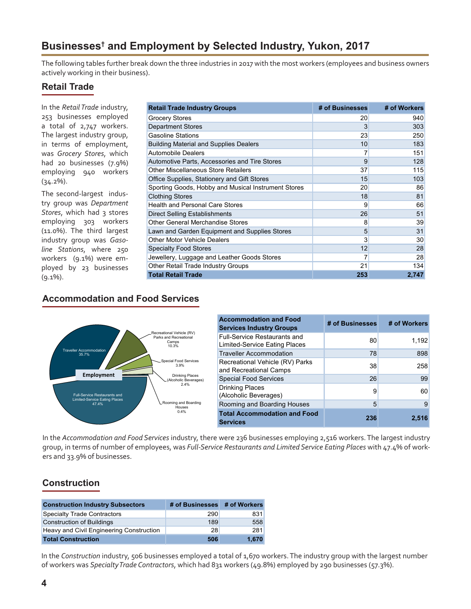# <span id="page-3-0"></span>**Businesses† and Employment by Selected Industry, Yukon, 2017**

The following tables further break down the three industries in 2017 with the most workers (employees and business owners actively working in their business).

#### **Retail Trade**

In the *Retail Trade* industry, 253 businesses employed a total of 2,747 workers. The largest industry group, in terms of employment, was *Grocery Stores*, which had 20 businesses (7.9%) employing 940 workers (34.2%).

The second-largest industry group was *Department Stores*, which had 3 stores employing 303 workers (11.0%). The third largest industry group was *Gasoline Stations*, where 250 workers (9.1%) were employed by 23 businesses (9.1%).

| <b>Retail Trade Industry Groups</b>                 | # of Businesses | # of Workers |
|-----------------------------------------------------|-----------------|--------------|
| Grocery Stores                                      | 20              | 940          |
| <b>Department Stores</b>                            | 3               | 303          |
| <b>Gasoline Stations</b>                            | 23              | 250          |
| <b>Building Material and Supplies Dealers</b>       | 10              | 183          |
| <b>Automobile Dealers</b>                           | 7               | 151          |
| Automotive Parts, Accessories and Tire Stores       | 9               | 128          |
| Other Miscellaneous Store Retailers                 | 37              | 115          |
| Office Supplies, Stationery and Gift Stores         | 15              | 103          |
| Sporting Goods, Hobby and Musical Instrument Stores | 20              | 86           |
| <b>Clothing Stores</b>                              | 18              | 81           |
| <b>Health and Personal Care Stores</b>              | 9               | 66           |
| Direct Selling Establishments                       | 26              | 51           |
| Other General Merchandise Stores                    | 8               | 39           |
| Lawn and Garden Equipment and Supplies Stores       | 5               | 31           |
| <b>Other Motor Vehicle Dealers</b>                  | 3               | 30           |
| <b>Specialty Food Stores</b>                        | 12              | 28           |
| Jewellery, Luggage and Leather Goods Stores         | 7               | 28           |
| Other Retail Trade Industry Groups                  | 21              | 134          |
| <b>Total Retail Trade</b>                           | 253             | 2,747        |

### **Accommodation and Food Services**



| <b>Accommodation and Food</b><br><b>Services Industry Groups</b>     | # of Businesses | # of Workers |
|----------------------------------------------------------------------|-----------------|--------------|
| <b>Full-Service Restaurants and</b><br>Limited-Service Eating Places | 80              | 1,192        |
| <b>Traveller Accommodation</b>                                       | 78              | 898          |
| Recreational Vehicle (RV) Parks<br>and Recreational Camps            | 38              | 258          |
| <b>Special Food Services</b>                                         | 26              | 99           |
| <b>Drinking Places</b><br>(Alcoholic Beverages)                      | 9               | 60           |
| Rooming and Boarding Houses                                          | 5               | 9            |
| <b>Total Accommodation and Food</b><br><b>Services</b>               | 236             | 2.516        |

In the *Accommodation and Food Services* industry, there were 236 businesses employing 2,516 workers. The largest industry group, in terms of number of employees, was *Full-Service Restaurants and Limited Service Eating Places* with 47.4% of workers and 33.9% of businesses.

## **Construction**

| <b>Construction Industry Subsectors</b>  | # of Businesses # of Workers |       |
|------------------------------------------|------------------------------|-------|
| Specialty Trade Contractors              | 290                          | 831   |
| <b>Construction of Buildings</b>         | 189                          | 558   |
| Heavy and Civil Engineering Construction | 28                           | 281   |
| <b>Total Construction</b>                | 506                          | 1,670 |

In the *Construction* industry, 506 businesses employed a total of 1,670 workers. The industry group with the largest number of workers was *Specialty Trade Contractors*, which had 831 workers (49.8%) employed by 290 businesses (57.3%).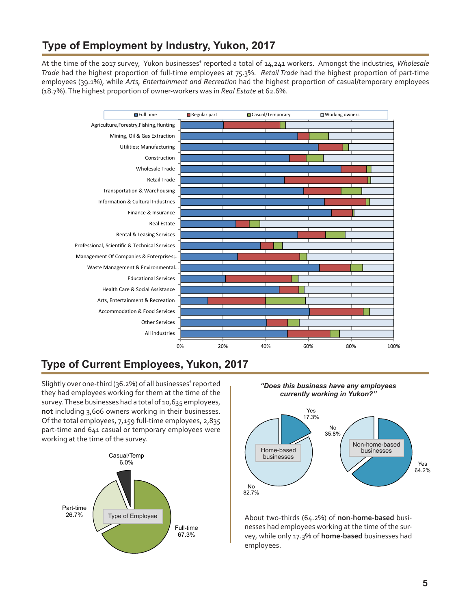# <span id="page-4-0"></span>**Type of Employment by Industry, Yukon, 2017**

At the time of the 2017 survey, Yukon businesses<sup>t</sup> reported a total of 14,241 workers. Amongst the industries, Wholesale *Trade* had the highest proportion of full-time employees at 75.3%. *Retail Trade* had the highest proportion of part-time employees (39.1%), while *Arts, Entertainment and Recreation* had the highest proportion of casual/temporary employees (18.7%). The highest proportion of owner-workers was in *Real Estate* at 62.6%*.* 



# **Type of Current Employees, Yukon, 2017**

Slightly over one-third (36.2%) of all businesses**†** reported they had employees working for them at the time of the survey. These businesses had a total of 10,635 employees, **not** including 3,606 owners working in their businesses. Of the total employees, 7,159 full-time employees, 2,835 part-time and 641 casual or temporary employees were working at the time of the survey.



*"Does this business have any employees currently working in Yukon?"*



About two-thirds (64.2%) of **non-home-based** businesses had employees working at the time of the survey, while only 17.3% of **home-based** businesses had employees.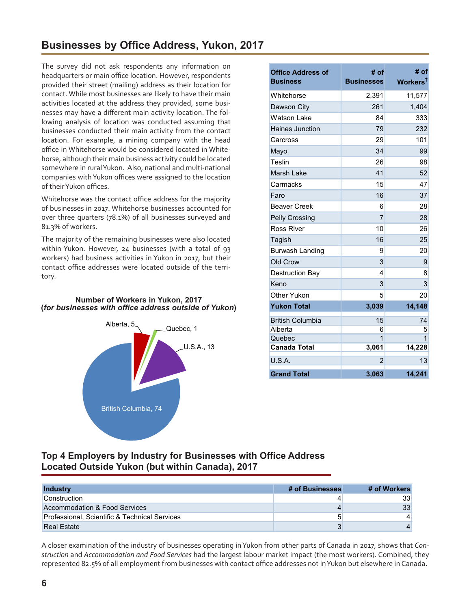<span id="page-5-0"></span>The survey did not ask respondents any information on headquarters or main office location. However, respondents provided their street (mailing) address as their location for contact. While most businesses are likely to have their main activities located at the address they provided, some businesses may have a different main activity location. The following analysis of location was conducted assuming that businesses conducted their main activity from the contact location. For example, a mining company with the head office in Whitehorse would be considered located in Whitehorse, although their main business activity could be located somewhere in rural Yukon. Also, national and multi-national companies withYukon offices were assigned to the location of theirYukon offices.

Whitehorse was the contact office address for the majority of businesses in 2017. Whitehorse businesses accounted for over three quarters (78.1%) of all businesses surveyed and 81.3% of workers.

The majority of the remaining businesses were also located within Yukon. However, 24 businesses (with a total of 93 workers) had business activities in Yukon in 2017, but their contact office addresses were located outside of the territory.

#### **Number of Workers in Yukon, 2017 (***for businesses with office address outside of Yukon***)**



| <b>Office Address of</b><br><b>Business</b> | # of<br><b>Businesses</b> | # of<br>Workers <sup>t</sup> |
|---------------------------------------------|---------------------------|------------------------------|
| Whitehorse                                  | 2,391                     | 11,577                       |
| Dawson City                                 | 261                       | 1,404                        |
| <b>Watson Lake</b>                          | 84                        | 333                          |
| Haines Junction                             | 79                        | 232                          |
| Carcross                                    | 29                        | 101                          |
| Mayo                                        | 34                        | 99                           |
| Teslin                                      | 26                        | 98                           |
| Marsh Lake                                  | 41                        | 52                           |
| Carmacks                                    | 15                        | 47                           |
| Faro                                        | 16                        | 37                           |
| <b>Beaver Creek</b>                         | 6                         | 28                           |
| <b>Pelly Crossing</b>                       | 7                         | 28                           |
| Ross River                                  | 10                        | 26                           |
| Tagish                                      | 16                        | 25                           |
| Burwash Landing                             | 9                         | 20                           |
| Old Crow                                    | 3                         | 9                            |
| <b>Destruction Bay</b>                      | 4                         | 8                            |
| Keno                                        | 3                         | 3                            |
| Other Yukon                                 | 5                         | 20                           |
| <b>Yukon Total</b>                          | 3,039                     | 14,148                       |
| <b>British Columbia</b>                     | 15                        | 74                           |
| Alberta                                     | 6                         | 5                            |
| Quebec                                      | $\overline{1}$            | 1                            |
| <b>Canada Total</b>                         | 3,061                     | 14,228                       |
| U.S.A.                                      | $\overline{2}$            | 13                           |
| <b>Grand Total</b>                          | 3,063                     | 14,241                       |

#### **Top 4 Employers by Industry for Businesses with Office Address Located Outside Yukon (but within Canada), 2017**

| <b>Industry</b>                               | # of Businesses | # of Workers    |
|-----------------------------------------------|-----------------|-----------------|
| <b>Construction</b>                           |                 | 33 <sup>1</sup> |
| Accommodation & Food Services                 |                 | 33              |
| Professional, Scientific & Technical Services | 5               |                 |
| <b>Real Estate</b>                            |                 |                 |

A closer examination of the industry of businesses operating in Yukon from other parts of Canada in 2017, shows that *Construction* and *Accommodation and Food Services* had the largest labour market impact (the most workers). Combined, they represented 82.5% of all employment from businesses with contact office addresses not inYukon but elsewhere in Canada.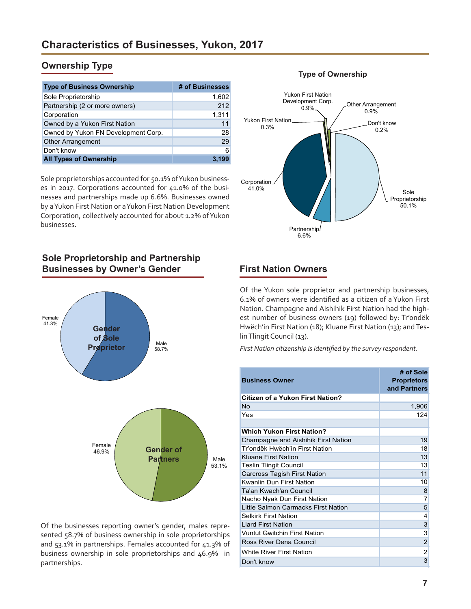## <span id="page-6-0"></span>**Ownership Type**

| <b>Type of Business Ownership</b>   | # of Businesses |
|-------------------------------------|-----------------|
| Sole Proprietorship                 | 1,602           |
| Partnership (2 or more owners)      | 212             |
| Corporation                         | 1,311           |
| Owned by a Yukon First Nation       | 11              |
| Owned by Yukon FN Development Corp. | 28              |
| <b>Other Arrangement</b>            | 29              |
| Don't know                          | 6               |
| <b>All Types of Ownership</b>       |                 |

Sole proprietorships accounted for 50.1% of Yukon businesses in 2017. Corporations accounted for 41.0% of the businesses and partnerships made up 6.6%. Businesses owned by a Yukon First Nation or a Yukon First Nation Development Corporation, collectively accounted for about 1.2% of Yukon businesses.

## **Sole Proprietorship and Partnership Businesses by Owner's Gender**



Of the businesses reporting owner's gender, males represented 58.7% of business ownership in sole proprietorships and 53.1% in partnerships. Females accounted for 41.3% of business ownership in sole proprietorships and 46.9% in partnerships.

#### Sole Proprietorship 50.1% Partnership 6.6% Corporation 41.0% Yukon First Nation 0.3% Yukon First Nation Development Corp.<br>- 0.9% Other Arrangement 0.9% Don't know 0.2%

## **First Nation Owners**

Of the Yukon sole proprietor and partnership businesses, 6.1% of owners were identified as a citizen of a Yukon First Nation. Champagne and Aishihik First Nation had the highest number of business owners (19) followed by: Tr'ondëk Hwëch'in First Nation (18); Kluane First Nation (13); and Teslin Tlingit Council (13).

*First Nation citizenship is identified by the survey respondent.*

| <b>Business Owner</b>                   | # of Sole<br><b>Proprietors</b><br>and Partners |
|-----------------------------------------|-------------------------------------------------|
| <b>Citizen of a Yukon First Nation?</b> |                                                 |
| No                                      | 1,906                                           |
| Yes                                     | 124                                             |
|                                         |                                                 |
| <b>Which Yukon First Nation?</b>        |                                                 |
| Champagne and Aishihik First Nation     | 19                                              |
| Tr'ondëk Hwëch'in First Nation          | 18                                              |
| <b>Kluane First Nation</b>              | 13                                              |
| <b>Teslin Tlingit Council</b>           | 13                                              |
| <b>Carcross Tagish First Nation</b>     | 11                                              |
| <b>Kwanlin Dun First Nation</b>         | 10                                              |
| Ta'an Kwach'an Council                  | 8                                               |
| Nacho Nyak Dun First Nation             | 7                                               |
| Little Salmon Carmacks First Nation     | 5                                               |
| <b>Selkirk First Nation</b>             | 4                                               |
| <b>Liard First Nation</b>               | 3                                               |
| <b>Vuntut Gwitchin First Nation</b>     | 3                                               |
| Ross River Dena Council                 | $\overline{2}$                                  |
| <b>White River First Nation</b>         | $\overline{2}$                                  |
| Don't know                              | 3                                               |

#### **Type of Ownership**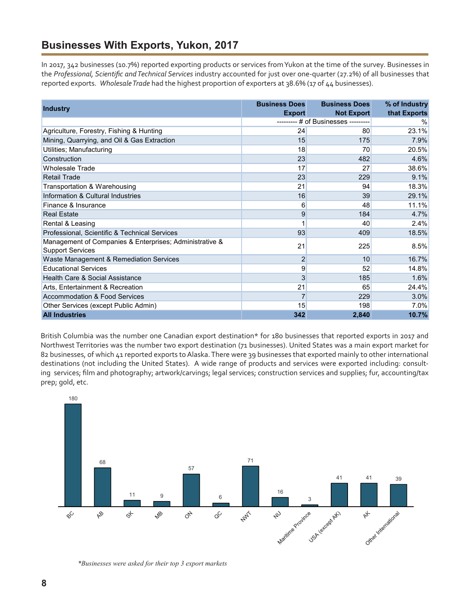# <span id="page-7-0"></span>**Businesses With Exports, Yukon, 2017**

In 2017, 342 businesses (10.7%) reported exporting products or services from Yukon at the time of the survey. Businesses in the *Professional, Scientific and Technical Services* industry accounted for just over one-quarter (27.2%) of all businesses that reported exports. *Wholesale Trade* had the highest proportion of exporters at 38.6% (17 of 44 businesses).

| <b>Industry</b>                                                                    | <b>Business Does</b> | <b>Business Does</b>      | % of Industry |
|------------------------------------------------------------------------------------|----------------------|---------------------------|---------------|
|                                                                                    | <b>Export</b>        | <b>Not Export</b>         | that Exports  |
|                                                                                    |                      | # of Businesses --------- | $\%$          |
| Agriculture, Forestry, Fishing & Hunting                                           | 24                   | 80                        | 23.1%         |
| Mining, Quarrying, and Oil & Gas Extraction                                        | 15                   | 175                       | 7.9%          |
| Utilities; Manufacturing                                                           | 18                   | 70                        | 20.5%         |
| Construction                                                                       | 23                   | 482                       | 4.6%          |
| <b>Wholesale Trade</b>                                                             | 17                   | 27                        | 38.6%         |
| <b>Retail Trade</b>                                                                | 23                   | 229                       | 9.1%          |
| Transportation & Warehousing                                                       | 21                   | 94                        | 18.3%         |
| Information & Cultural Industries                                                  | 16                   | 39                        | 29.1%         |
| Finance & Insurance                                                                | 6                    | 48                        | 11.1%         |
| <b>Real Estate</b>                                                                 | 9                    | 184                       | 4.7%          |
| Rental & Leasing                                                                   | 1                    | 40                        | 2.4%          |
| Professional, Scientific & Technical Services                                      | 93                   | 409                       | 18.5%         |
| Management of Companies & Enterprises; Administrative &<br><b>Support Services</b> | 21                   | 225                       | 8.5%          |
| Waste Management & Remediation Services                                            | $\overline{c}$       | 10                        | 16.7%         |
| <b>Educational Services</b>                                                        | 9                    | 52                        | 14.8%         |
| Health Care & Social Assistance                                                    | 3                    | 185                       | 1.6%          |
| Arts, Entertainment & Recreation                                                   | 21                   | 65                        | 24.4%         |
| <b>Accommodation &amp; Food Services</b>                                           | $\overline{7}$       | 229                       | 3.0%          |
| Other Services (except Public Admin)                                               | 15                   | 198                       | $7.0\%$       |
| <b>All Industries</b>                                                              | 342                  | 2,840                     | 10.7%         |

British Columbia was the number one Canadian export destination\* for 180 businesses that reported exports in 2017 and Northwest Territories was the number two export destination (71 businesses). United States was a main export market for 82 businesses, of which 41 reported exports to Alaska. There were 39 businesses that exported mainly to other international destinations (not including the United States). A wide range of products and services were exported including: consulting services; film and photography; artwork/carvings; legal services; construction services and supplies; fur, accounting/tax prep; gold, etc.



*\*Businesses were asked for their top 3 export markets*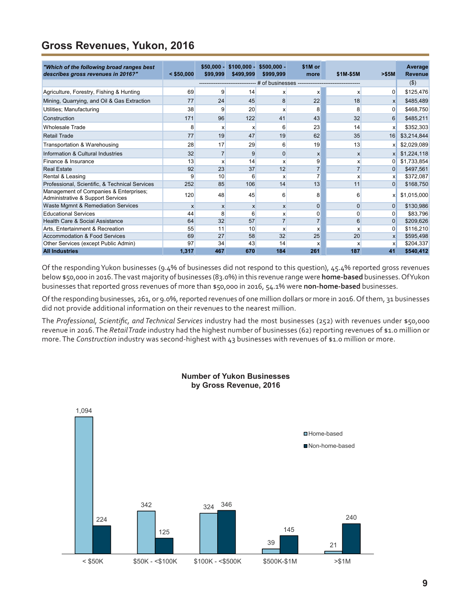# <span id="page-8-0"></span>**Gross Revenues, Yukon, 2016**

| "Which of the following broad ranges best                                   |                           | $$50,000 -$               | $$100.000 -$              | $$500,000 -$   | \$1M or                        |                |                  | Average        |
|-----------------------------------------------------------------------------|---------------------------|---------------------------|---------------------------|----------------|--------------------------------|----------------|------------------|----------------|
| describes gross revenues in 2016?"                                          | $<$ \$50,000              | \$99,999                  | \$499,999                 | \$999,999      | more                           | \$1M-\$5M      | > \$5M           | <b>Revenue</b> |
|                                                                             |                           |                           |                           |                | # of businesses -------------- |                |                  | $($ \$)        |
| Agriculture, Forestry, Fishing & Hunting                                    | 69                        | 9                         | 14                        | X              | X                              | x              | $\Omega$         | \$125,476      |
| Mining, Quarrying, and Oil & Gas Extraction                                 | 77                        | 24                        | 45                        | 8              | 22                             | 18             | $\mathsf{x}$     | \$485,489      |
| Utilities; Manufacturing                                                    | 38                        | 9                         | 20                        | X              | 8                              | 8              | $\overline{0}$   | \$468,750      |
| Construction                                                                | 171                       | 96                        | 122                       | 41             | 43                             | 32             | $6 \overline{6}$ | \$485,211      |
| <b>Wholesale Trade</b>                                                      | 8                         | x                         | X                         | 6              | 23                             | 14             | X                | \$352,303      |
| <b>Retail Trade</b>                                                         | 77                        | 19                        | 47                        | 19             | 62                             | 35             | 16               | \$3,214,844    |
| Transportation & Warehousing                                                | 28                        | 17                        | 29                        | 6              | 19                             | 13             | x                | \$2,029,089    |
| Information & Cultural Industries                                           | 32                        |                           | 9                         | $\mathbf 0$    | X                              | $\mathsf{x}$   | x                | \$1,224,118    |
| Finance & Insurance                                                         | 13                        | x                         | 14                        | X              | 9                              | x              | $\overline{0}$   | \$1,733,854    |
| <b>Real Estate</b>                                                          | 92                        | 23                        | 37                        | 12             | $\overline{7}$                 | $\overline{7}$ | $\Omega$         | \$497,561      |
| Rental & Leasing                                                            | 9                         | 10                        | 6                         | X              | $\overline{7}$                 | x              | x                | \$372,087      |
| Professional, Scientific, & Technical Services                              | 252                       | 85                        | 106                       | 14             | 13                             | 11             | $\overline{0}$   | \$168,750      |
| Management of Companies & Enterprises;<br>Administrative & Support Services | 120                       | 48                        | 45                        | 6              | 8                              | 6              | X                | \$1,015,000    |
| Waste Mgmnt & Remediation Services                                          | $\boldsymbol{\mathsf{x}}$ | $\boldsymbol{\mathsf{x}}$ | $\boldsymbol{\mathsf{x}}$ | $\mathsf{x}$   | $\mathbf 0$                    | $\Omega$       | $\Omega$         | \$130,986      |
| <b>Educational Services</b>                                                 | 44                        | 8                         | 6                         | x              | 0                              | 0              | $\Omega$         | \$83,796       |
| Health Care & Social Assistance                                             | 64                        | 32                        | 57                        | $\overline{7}$ | $\overline{7}$                 | 6              | $\overline{0}$   | \$209,626      |
| Arts. Entertainment & Recreation                                            | 55                        | 11                        | 10                        | X              | X                              | x              | $\Omega$         | \$116,210      |
| Accommodation & Food Services                                               | 69                        | 27                        | 58                        | 32             | 25                             | 20             | x                | \$595,498      |
| Other Services (except Public Admin)                                        | 97                        | 34                        | 43                        | 14             | X                              | x              | $\mathsf{x}$     | \$204,337      |
| <b>All Industries</b>                                                       | 1.317                     | 467                       | 670                       | 184            | 261                            | 187            | 41               | \$540,412      |

Of the responding Yukon businesses (9.4% of businesses did not respond to this question), 45.4% reported gross revenues below \$50,000 in 2016. The vast majority of businesses (83.0%) in this revenue range were **home-based** businesses. Of Yukon businesses that reported gross revenues of more than \$50,000 in 2016, 54.1% were **non-home-based** businesses.

Of the responding businesses, 261, or 9.0%, reported revenues of one million dollars or more in 2016. Of them, 31 businesses did not provide additional information on their revenues to the nearest million.

The *Professional, Scientific, and Technical Services* industry had the most businesses (252) with revenues under \$50,000 revenue in 2016. The *Retail Trade* industry had the highest number of businesses (62) reporting revenues of \$1.0 million or more. The *Construction* industry was second-highest with 43 businesses with revenues of \$1.0 million or more.



#### **Number of Yukon Businesses by Gross Revenue, 2016**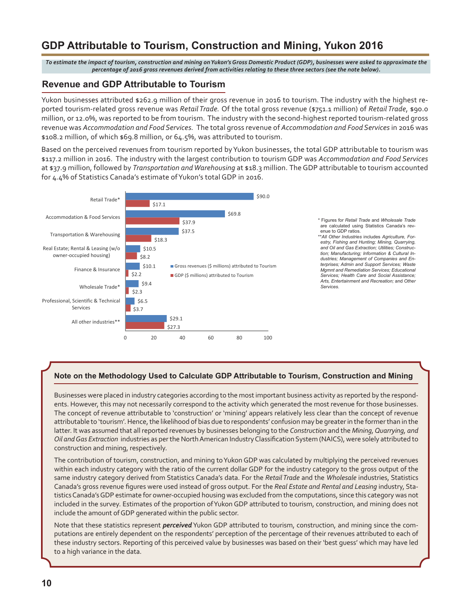# <span id="page-9-0"></span>**GDP Attributable to Tourism, Construction and Mining, Yukon 2016**

*To estimate the impact of tourism, construction and mining on Yukon's Gross Domestic Product (GDP), businesses were asked to approximate the percentage of 2016 gross revenues derived from activities relating to these three sectors (see the note below).*

#### **Revenue and GDP Attributable to Tourism**

Yukon businesses attributed \$262.9 million of their gross revenue in 2016 to tourism. The industry with the highest reported tourism-related gross revenue was *Retail Trade.* Of the total gross revenue (\$751.1 million) of *Retail Trade*, \$90.0 million, or 12.0%, was reported to be from tourism. The industry with the second-highest reported tourism-related gross revenue was *Accommodation and Food Services.* The total gross revenue of *Accommodation and Food Services* in 2016 was \$108.2 million, of which \$69.8 million, or 64.5%, was attributed to tourism.

Based on the perceived revenues from tourism reported by Yukon businesses, the total GDP attributable to tourism was \$117.2 million in 2016. The industry with the largest contribution to tourism GDP was *Accommodation and Food Services* at \$37.9 million, followed by *Transportation and Warehousing* at \$18.3 million. The GDP attributable to tourism accounted for 4.4% of Statistics Canada's estimate of Yukon's total GDP in 2016.



#### **Note on the Methodology Used to Calculate GDP Attributable to Tourism, Construction and Mining**

Businesses were placed in industry categories according to the most important business activity as reported by the respondents. However, this may not necessarily correspond to the activity which generated the most revenue for those businesses. The concept of revenue attributable to 'construction' or 'mining' appears relatively less clear than the concept of revenue attributable to 'tourism'. Hence, the likelihood of bias due to respondents' confusion may be greater in the former than in the latter. It was assumed that all reported revenues by businesses belonging to the *Construction* and the *Mining, Quarrying, and Oil and Gas Extraction* industries as per the North American Industry Classification System (NAICS), were solely attributed to construction and mining, respectively.

The contribution of tourism, construction, and mining to Yukon GDP was calculated by multiplying the perceived revenues within each industry category with the ratio of the current dollar GDP for the industry category to the gross output of the same industry category derived from Statistics Canada's data. For the *Retail Trade* and the *Wholesale* industries, Statistics Canada's gross revenue figures were used instead of gross output. For the *Real Estate and Rental and Leasing* industry, Statistics Canada's GDP estimate for owner-occupied housing was excluded from the computations, since this category was not included in the survey. Estimates of the proportion of Yukon GDP attributed to tourism, construction, and mining does not include the amount of GDP generated within the public sector.

Note that these statistics represent *perceived* Yukon GDP attributed to tourism, construction, and mining since the computations are entirely dependent on the respondents' perception of the percentage of their revenues attributed to each of these industry sectors. Reporting of this perceived value by businesses was based on their 'best guess' which may have led to a high variance in the data.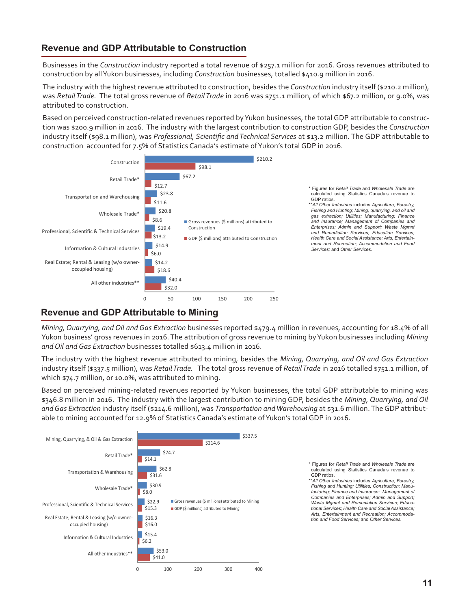#### **11**

### **Revenue and GDP Attributable to Construction**

Businesses in the *Construction* industry reported a total revenue of \$257.1 million for 2016. Gross revenues attributed to construction by all Yukon businesses, including *Construction* businesses, totalled \$410.9 million in 2016.

The industry with the highest revenue attributed to construction, besides the *Construction* industry itself (\$210.2 million), was *Retail Trade.* The total gross revenue of *Retail Trade* in 2016 was \$751.1 million, of which \$67.2 million, or 9.0%, was attributed to construction.

Based on perceived construction-related revenues reported by Yukon businesses, the total GDP attributable to construction was \$200.9 million in 2016. The industry with the largest contribution to construction GDP, besides the *Construction* industry itself (\$98.1 million), was *Professional, Scientific and Technical Services* at \$13.2 million. The GDP attributable to construction accounted for 7.5% of Statistics Canada's estimate of Yukon's total GDP in 2016.



## **Revenue and GDP Attributable to Mining**

*Mining, Quarrying, and Oil and Gas Extraction* businesses reported \$479.4 million in revenues, accounting for 18.4% of all Yukon business' gross revenues in 2016. The attribution of gross revenue to mining by Yukon businesses including *Mining and Oil and Gas Extraction* businesses totalled \$613.4 million in 2016.

The industry with the highest revenue attributed to mining, besides the *Mining, Quarrying, and Oil and Gas Extraction* industry itself (\$337.5 million), was *Retail Trade.* The total gross revenue of *Retail Trade* in 2016 totalled \$751.1 million, of which \$74.7 million, or 10.0%, was attributed to mining.

Based on perceived mining-related revenues reported by Yukon businesses, the total GDP attributable to mining was \$346.8 million in 2016. The industry with the largest contribution to mining GDP, besides the *Mining, Quarrying, and Oil and Gas Extraction* industry itself (\$214.6 million), was *Transportation and Warehousing* at \$31.6 million. The GDP attributable to mining accounted for 12.9% of Statistics Canada's estimate of Yukon's total GDP in 2016.



\* Figures for *Retail Trade* and *Wholesale Trade* are calculated using Statistics Canada's revenue to

\*\**All Other Industries* includes *Agriculture, Forestry, Fishing and Hunting; Utilities; Construction; Manufacturing; Finance and Insurance; Management of Companies and Enterprises; Admin and Support; Waste Mgmnt and Remediation Services; Educational Services; Health Care and Social Assistance; Arts, Entertainment and Recreation; Accommodation and Food Services;* and *Other Services.*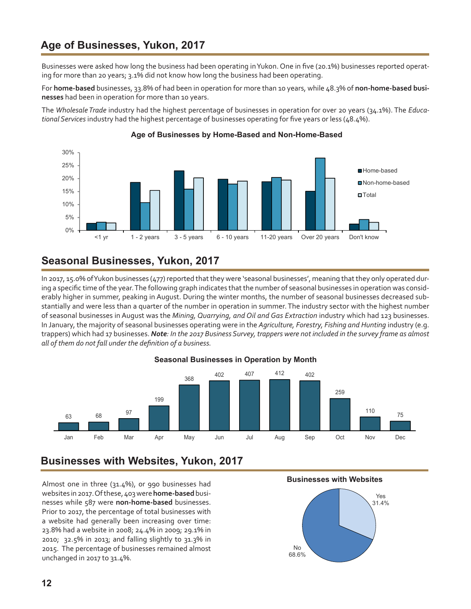# <span id="page-11-0"></span>**Age of Businesses, Yukon, 2017**

Businesses were asked how long the business had been operating inYukon. One in five (20.1%) businesses reported operating for more than 20 years; 3.1% did not know how long the business had been operating.

For **home-based** businesses, 33.8% of had been in operation for more than 10 years, while 48.3% of **non-home-based businesses** had been in operation for more than 10 years.

The *Wholesale Trade* industry had the highest percentage of businesses in operation for over 20 years (34.1%). The *Educational Services* industry had the highest percentage of businesses operating for five years or less (48.4%).



#### **Age of Businesses by Home-Based and Non-Home-Based**

# **Seasonal Businesses, Yukon, 2017**

In 2017, 15.0% of Yukon businesses (477) reported that they were 'seasonal businesses', meaning that they only operated during a specific time of the year. The following graph indicates that the number of seasonal businesses in operation was considerably higher in summer, peaking in August. During the winter months, the number of seasonal businesses decreased substantially and were less than a quarter of the number in operation in summer. The industry sector with the highest number of seasonal businesses in August was the *Mining, Quarrying, and Oil and Gas Extraction* industry which had 123 businesses. In January, the majority of seasonal businesses operating were in the *Agriculture, Forestry, Fishing and Hunting* industry (e.g. trappers) which had 17 businesses. *Note: In the 2017 Business Survey, trappers were not included in the survey frame as almost all of them do not fall under the definition of a business.*



#### **Seasonal Businesses in Operation by Month**

# **Businesses with Websites, Yukon, 2017**

Almost one in three (31.4%), or 990 businesses had websites in 2017. Of these, 403 were **home-based** businesses while 587 were **non-home-based** businesses. Prior to 2017, the percentage of total businesses with a website had generally been increasing over time: 23.8% had a website in 2008; 24.4% in 2009; 29.1% in 2010; 32.5% in 2013; and falling slightly to 31.3% in 2015. The percentage of businesses remained almost unchanged in 2017 to 31.4%.

 **Businesses with Websites**

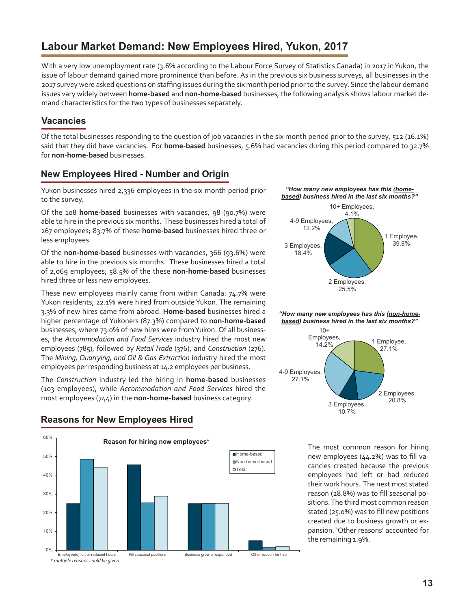# <span id="page-12-0"></span>**Labour Market Demand: New Employees Hired, Yukon, 2017**

With a very low unemployment rate (3.6% according to the Labour Force Survey of Statistics Canada) in 2017 in Yukon, the issue of labour demand gained more prominence than before. As in the previous six business surveys, all businesses in the 2017 survey were asked questions on staffing issues during the six month period priorto the survey. Since the labour demand issues vary widely between **home-based** and **non-home-based** businesses, the following analysis shows labour market demand characteristics for the two types of businesses separately.

### **Vacancies**

Of the total businesses responding to the question of job vacancies in the six month period prior to the survey, 512 (16.1%) said that they did have vacancies. For **home-based** businesses, 5.6% had vacancies during this period compared to 32.7% for **non-home-based** businesses.

#### **New Employees Hired - Number and Origin**

Yukon businesses hired 2,336 employees in the six month period prior to the survey.

Of the 108 **home-based** businesses with vacancies, 98 (90.7%) were able to hire in the previous six months. These businesses hired a total of 267 employees; 83.7% of these **home-based** businesses hired three or less employees.

Of the **non-home-based** businesses with vacancies, 366 (93.6%) were able to hire in the previous six months. These businesses hired a total of 2,069 employees; 58.5% of the these **non-home-based** businesses hired three or less new employees.

These new employees mainly came from within Canada: 74.7% were Yukon residents; 22.1% were hired from outside Yukon. The remaining 3.3% of new hires came from abroad. **Home-based** businesses hired a higher percentage of Yukoners (87.3%) compared to **non-home-based**  businesses, where 73.0% of new hires were from Yukon. Of all businesses, the *Accommodation and Food Services* industry hired the most new employees (785), followed by *Retail Trade* (376), and *Construction* (276). The *Mining, Quarrying, and Oil & Gas Extraction* industry hired the most employees per responding business at 14.2 employees per business.

The *Construction* industry led the hiring in **home-based** businesses (103 employees), while *Accommodation and Food Services* hired the most employees (744) in the **non-home-based** business category.



#### **Reasons for New Employees Hired**

*"How many new employees has this (homebased) business hired in the last six months?"*



#### *"How many new employees has this (non-homebased) business hired in the last six months?"*



The most common reason for hiring new employees (44.2%) was to fill vacancies created because the previous employees had left or had reduced their work hours. The next most stated reason (28.8%) was to fill seasonal positions. The third most common reason stated (25.0%) was to fill new positions created due to business growth or expansion. 'Other reasons' accounted for the remaining 1.9%.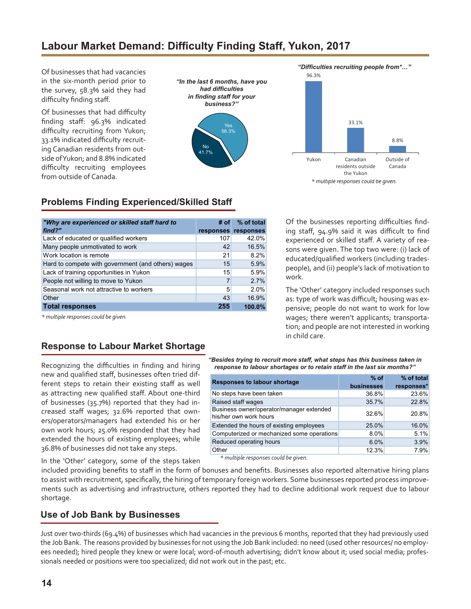# <span id="page-13-0"></span>**Labour Market Demand: Difficulty Finding Staff, Yukon, 2017**

Of businesses that had vacancies in the six-month period prior to the survey, 58.3% said they had difficulty finding staff.

Of businesses that had difficulty finding staff: 96.3% indicated difficulty recruiting from Yukon; 33.1% indicated difficulty recruiting Canadian residents from outside ofYukon; and 8.8% indicated difficulty recruiting employees from outside of Canada.





*"Difficulties recruiting people from\*…"*



## **Problems Finding Experienced/Skilled Staff**

| "Why are experienced or skilled staff hard to      | # of | % of total          |
|----------------------------------------------------|------|---------------------|
| find?"                                             |      | responses responses |
| Lack of educated or qualified workers              | 107  | 42.0%               |
| Many people unmotivated to work                    | 42   | 16.5%               |
| Work location is remote                            | 21   | 8.2%                |
| Hard to compete with government (and others) wages | 15   | 5.9%                |
| Lack of training opportunities in Yukon            | 15   | 5.9%                |
| People not willing to move to Yukon                | 7    | 2.7%                |
| Seasonal work not attractive to workers            | 5    | 2.0%                |
| Other                                              | 43   | 16.9%               |
| <b>Total responses</b>                             | 255  | 100.0%              |

*\* multiple responses could be given.*

Of the businesses reporting difficulties finding staff, 94.9% said it was difficult to find experienced or skilled staff. A variety of reasons were given. The top two were: (i) lack of educated/qualified workers (including tradespeople), and (ii) people's lack of motivation to work.

The 'Other' category included responses such as: type of work was difficult; housing was expensive; people do not want to work for low wages; there weren't applicants; transportation; and people are not interested in working in child care.

#### **Response to Labour Market Shortage**

Recognizing the difficulties in finding and hiring new and qualified staff, businesses often tried different steps to retain their existing staff as well as attracting new qualified staff. About one-third of businesses (35.7%) reported that they had increased staff wages; 32.6% reported that owners/operators/managers had extended his or her own work hours; 25.0% responded that they had extended the hours of existing employees; while 36.8% of businesses did not take any steps.

*"Besides trying to recruit more staff, what steps has this business taken in response to labour shortages or to retain staff in the last six months?"*

| <b>Responses to labour shortage</b>                                | $%$ of     | % of total |
|--------------------------------------------------------------------|------------|------------|
|                                                                    | businesses | responses* |
| No steps have been taken                                           | 36.8%      | 23.6%      |
| Raised staff wages                                                 | 35.7%      | 22.8%      |
| Business owner/operator/manager extended<br>his/her own work hours | 32.6%      | 20.8%      |
| Extended the hours of existing employees                           | 25.0%      | 16.0%      |
| Computerized or mechanized some operations                         | 8.0%       | 5.1%       |
| Reduced operating hours                                            | 6.0%       | 3.9%       |
| Other                                                              | 12.3%      | 7.9%       |

 *\* multiple responses could be given.*

In the 'Other' category, some of the steps taken

included providing benefits to staff in the form of bonuses and benefits. Businesses also reported alternative hiring plans to assist with recruitment, specifically, the hiring of temporary foreign workers. Some businesses reported process improvements such as advertising and infrastructure, others reported they had to decline additional work request due to labour shortage.

#### **Use of Job Bank by Businesses**

Just over two-thirds (69.4%) of businesses which had vacancies in the previous 6 months, reported that they had previously used the Job Bank. The reasons provided by businesses for not using the Job Bank included: no need (used other resources/ no employees needed); hired people they knew or were local; word-of-mouth advertising; didn't know about it; used social media; professionals needed or positions were too specialized; did not work out in the past; etc.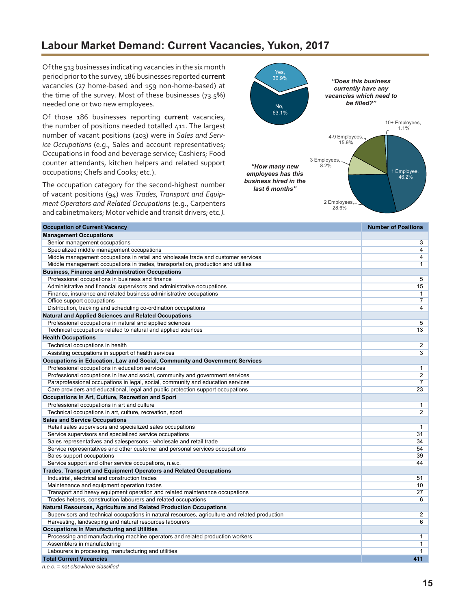# <span id="page-14-0"></span>**Labour Market Demand: Current Vacancies, Yukon, 2017**

Of the 513 businesses indicating vacancies in the six month period prior to the survey, 186 businesses reported **current** vacancies (27 home-based and 159 non-home-based) at the time of the survey. Most of these businesses (73.5%) needed one or two new employees.

Of those 186 businesses reporting **current** vacancies, the number of positions needed totalled 411. The largest number of vacant positions (203) were in *Sales and Service Occupations* (e.g., Sales and account representatives; Occupations in food and beverage service; Cashiers; Food counter attendants, kitchen helpers and related support occupations; Chefs and Cooks; etc.).

The occupation category for the second-highest number of vacant positions (94) was *Trades, Transport and Equipment Operators and Related Occupations* (e.g., Carpenters and cabinetmakers; Motor vehicle and transit drivers; etc*.).*



| <b>Occupation of Current Vacancy</b>                                                           | <b>Number of Positions</b> |
|------------------------------------------------------------------------------------------------|----------------------------|
| <b>Management Occupations</b>                                                                  |                            |
| Senior management occupations                                                                  | 3                          |
| Specialized middle management occupations                                                      | 4                          |
| Middle management occupations in retail and wholesale trade and customer services              | 4                          |
| Middle management occupations in trades, transportation, production and utilities              | 1                          |
| <b>Business, Finance and Administration Occupations</b>                                        |                            |
| Professional occupations in business and finance                                               | 5                          |
| Administrative and financial supervisors and administrative occupations                        | 15                         |
| Finance, insurance and related business administrative occupations                             | 1                          |
| Office support occupations                                                                     | 7                          |
| Distribution, tracking and scheduling co-ordination occupations                                | 4                          |
| <b>Natural and Applied Sciences and Related Occupations</b>                                    |                            |
| Professional occupations in natural and applied sciences                                       | 5                          |
| Technical occupations related to natural and applied sciences                                  | 13                         |
| <b>Health Occupations</b>                                                                      |                            |
| Technical occupations in health                                                                | 2                          |
| Assisting occupations in support of health services                                            | 3                          |
| Occupations in Education, Law and Social, Community and Government Services                    |                            |
| Professional occupations in education services                                                 | 1                          |
| Professional occupations in law and social, community and government services                  | 2                          |
| Paraprofessional occupations in legal, social, community and education services                | 7                          |
| Care providers and educational, legal and public protection support occupations                | 23                         |
| Occupations in Art, Culture, Recreation and Sport                                              |                            |
| Professional occupations in art and culture                                                    | 1                          |
| Technical occupations in art, culture, recreation, sport                                       | $\overline{2}$             |
| <b>Sales and Service Occupations</b>                                                           |                            |
| Retail sales supervisors and specialized sales occupations                                     | $\mathbf{1}$               |
| Service supervisors and specialized service occupations                                        | 31                         |
| Sales representatives and salespersons - wholesale and retail trade                            | 34                         |
| Service representatives and other customer and personal services occupations                   | 54                         |
| Sales support occupations                                                                      | 39                         |
| Service support and other service occupations, n.e.c.                                          | 44                         |
| <b>Trades, Transport and Equipment Operators and Related Occupations</b>                       |                            |
| Industrial, electrical and construction trades                                                 | 51                         |
| Maintenance and equipment operation trades                                                     | 10                         |
| Transport and heavy equipment operation and related maintenance occupations                    | 27                         |
| Trades helpers, construction labourers and related occupations                                 | 6                          |
| Natural Resources, Agriculture and Related Production Occupations                              |                            |
| Supervisors and technical occupations in natural resources, agriculture and related production | 2                          |
| Harvesting, landscaping and natural resources labourers                                        | $6\overline{}$             |
| Occupations in Manufacturing and Utilities                                                     |                            |
| Processing and manufacturing machine operators and related production workers                  | $\mathbf{1}$               |
| Assemblers in manufacturing                                                                    | 1                          |
| Labourers in processing, manufacturing and utilities                                           | 1                          |
| <b>Total Current Vacancies</b>                                                                 | 411                        |

*n.e.c. = not elsewhere classified*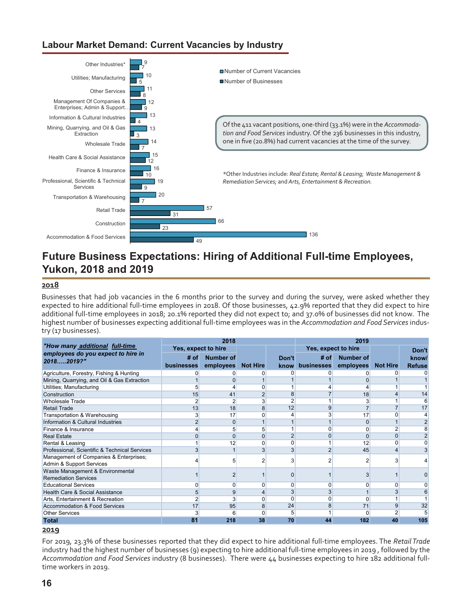### <span id="page-15-0"></span>**Labour Market Demand: Current Vacancies by Industry**



# **Future Business Expectations: Hiring of Additional Full-time Employees, Yukon, 2018 and 2019**

#### **2018**

Businesses that had job vacancies in the 6 months prior to the survey and during the survey, were asked whether they expected to hire additional full-time employees in 2018. Of those businesses, 42.9% reported that they did expect to hire additional full-time employees in 2018; 20.1% reported they did not expect to; and 37.0% of businesses did not know. The highest number of businesses expecting additional full-time employees was in the *Accommodation and Food Services* industry (17 businesses).

|                                                                    |                     | 2018             |                 | 2019           |                     |                  |                 |                |  |  |
|--------------------------------------------------------------------|---------------------|------------------|-----------------|----------------|---------------------|------------------|-----------------|----------------|--|--|
| "How many additional full-time                                     | Yes, expect to hire |                  |                 |                | Yes, expect to hire |                  |                 | Don't          |  |  |
| employees do you expect to hire in                                 | # of                | <b>Number of</b> |                 | Don't          | # of                | <b>Number of</b> |                 | know/          |  |  |
| 20182019?"                                                         | <b>businesses</b>   | employees        | <b>Not Hire</b> | know           | businesses          | employees        | <b>Not Hire</b> | <b>Refuse</b>  |  |  |
| Agriculture, Forestry, Fishing & Hunting                           | ი                   | 0                |                 | 0              | 0                   |                  | 0               |                |  |  |
| Mining, Quarrying, and Oil & Gas Extraction                        |                     |                  |                 |                |                     |                  |                 |                |  |  |
| Utilities; Manufacturing                                           | 5                   |                  |                 |                |                     |                  |                 |                |  |  |
| Construction                                                       | 15                  | 41               | $\overline{2}$  | 8              |                     | 18               | 4               | 14             |  |  |
| <b>Wholesale Trade</b>                                             | 2                   | 2                | 3               | $\overline{2}$ |                     | 3                |                 | 6              |  |  |
| <b>Retail Trade</b>                                                | 13                  | 18               | 8               | 12             | 9                   |                  | $\overline{7}$  | 17             |  |  |
| Transportation & Warehousing                                       | 3                   | 17               | U               | 4              | 3                   | 17               | 0               | 4              |  |  |
| Information & Cultural Industries                                  | $\overline{2}$      | $\Omega$         |                 | $\mathbf 1$    |                     | $\Omega$         |                 |                |  |  |
| Finance & Insurance                                                | 4                   | 5                | 5               | 1              | 0                   |                  | 2               | 8              |  |  |
| <b>Real Estate</b>                                                 | 0                   | $\Omega$         | 0               | $\overline{2}$ | 0                   |                  | $\mathbf{0}$    | $\overline{2}$ |  |  |
| Rental & Leasing                                                   |                     | 12               | U               | 0              |                     | 12               | 0               | 0              |  |  |
| Professional, Scientific & Technical Services                      | $\overline{3}$      |                  | 3               | 3              | $\overline{2}$      | 45               | 4               |                |  |  |
| Management of Companies & Enterprises;<br>Admin & Support Services |                     | 5                |                 | 3              | 2                   |                  | 3               |                |  |  |
| Waste Management & Environmental<br><b>Remediation Services</b>    |                     | 2                |                 | $\Omega$       |                     |                  |                 |                |  |  |
| <b>Educational Services</b>                                        | 0                   | 0                | O               | 0              | 0                   |                  | 0               | 0              |  |  |
| Health Care & Social Assistance                                    | 5                   | 9                |                 | 3              | 3                   |                  | 3               | 6              |  |  |
| Arts, Entertainment & Recreation                                   | 2                   | 3                | n               | 0              | n                   |                  |                 |                |  |  |
| Accommodation & Food Services                                      | 17                  | 95               | 8               | 24             | 8                   | 71               | 9               | 32             |  |  |
| <b>Other Services</b>                                              | 3                   | 6                | O               | 5              |                     | 0                | 2               |                |  |  |
| <b>Total</b>                                                       | 81                  | 218              | 38              | 70             | 44                  | 182              | 40              | 105            |  |  |

#### **2019**

For 2019, 23.3% of these businesses reported that they did expect to hire additional full-time employees. The *Retail Trade* industry had the highest number of businesses (9) expecting to hire additional full-time employees in 2019 , followed by the *Accommodation and Food Services* industry (8 businesses). There were 44 businesses expecting to hire 182 additional fulltime workers in 2019.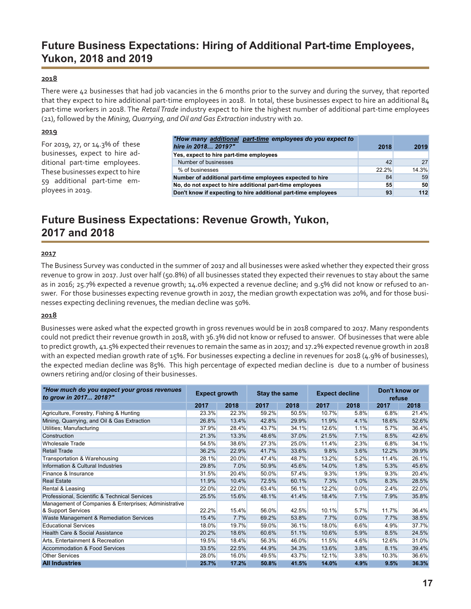# **Future Business Expectations: Hiring of Additional Part-time Employees, Yukon, 2018 and 2019**

#### **2018**

There were 42 businesses that had job vacancies in the 6 months prior to the survey and during the survey, that reported that they expect to hire additional part-time employees in 2018. In total, these businesses expect to hire an additional 84 part-time workers in 2018. The *Retail Trade* industry expect to hire the highest number of additional part-time employees (21), followed by the *Mining, Quarrying, and Oil and Gas Extraction* industry with 20.

#### **2019**

|                                 | "How many additional part-time employees do you expect to      |       |       |
|---------------------------------|----------------------------------------------------------------|-------|-------|
| For 2019, 27, or 14.3% of these | hire in 2018 2019?"                                            | 2018  | 2019  |
| businesses, expect to hire ad-  | Yes, expect to hire part-time employees                        |       |       |
| ditional part-time employees.   | Number of businesses                                           | 42    | 27    |
| These businesses expect to hire | % of businesses                                                | 22.2% | 14.3% |
| 59 additional part-time em-     | Number of additional part-time employees expected to hire      | 84    | 59    |
|                                 | No, do not expect to hire additional part-time employees       | 55    | 50    |
| ployees in 2019.                | Don't know if expecting to hire additional part-time employees | 93    | 112   |

# **Future Business Expectations: Revenue Growth, Yukon, 2017 and 2018**

#### **2017**

The Business Survey was conducted in the summer of 2017 and all businesses were asked whether they expected their gross revenue to grow in 2017. Just over half (50.8%) of all businesses stated they expected their revenues to stay about the same as in 2016; 25.7% expected a revenue growth; 14.0% expected a revenue decline; and 9.5% did not know or refused to answer. For those businesses expecting revenue growth in 2017, the median growth expectation was 20%, and for those businesses expecting declining revenues, the median decline was 50%.

#### **2018**

Businesses were asked what the expected growth in gross revenues would be in 2018 compared to 2017. Many respondents could not predict their revenue growth in 2018, with 36.3% did not know or refused to answer. Of businesses that were able to predict growth, 41.5% expected their revenues to remain the same as in 2017; and 17.2% expected revenue growth in 2018 with an expected median growth rate of 15%. For businesses expecting a decline in revenues for 2018 (4.9% of businesses), the expected median decline was 85%. This high percentage of expected median decline is due to a number of business owners retiring and/or closing of their businesses.

| "How much do you expect your gross revenues<br>to grow in 2017 2018?" | <b>Expect growth</b> |       | <b>Stay the same</b> |       | <b>Expect decline</b> |      | Don't know or<br>refuse |       |  |
|-----------------------------------------------------------------------|----------------------|-------|----------------------|-------|-----------------------|------|-------------------------|-------|--|
|                                                                       | 2017                 | 2018  | 2017                 | 2018  | 2017                  | 2018 | 2017                    | 2018  |  |
| Agriculture, Forestry, Fishing & Hunting                              | 23.3%                | 22.3% | 59.2%                | 50.5% | 10.7%                 | 5.8% | 6.8%                    | 21.4% |  |
| Mining, Quarrying, and Oil & Gas Extraction                           | 26.8%                | 13.4% | 42.8%                | 29.9% | 11.9%                 | 4.1% | 18.6%                   | 52.6% |  |
| Utilities; Manufacturing                                              | 37.9%                | 28.4% | 43.7%                | 34.1% | 12.6%                 | 1.1% | 5.7%                    | 36.4% |  |
| Construction                                                          | 21.3%                | 13.3% | 48.6%                | 37.0% | 21.5%                 | 7.1% | 8.5%                    | 42.6% |  |
| <b>Wholesale Trade</b>                                                | 54.5%                | 38.6% | 27.3%                | 25.0% | 11.4%                 | 2.3% | 6.8%                    | 34.1% |  |
| <b>Retail Trade</b>                                                   | 36.2%                | 22.9% | 41.7%                | 33.6% | 9.8%                  | 3.6% | 12.2%                   | 39.9% |  |
| Transportation & Warehousing                                          | 28.1%                | 20.0% | 47.4%                | 48.7% | 13.2%                 | 5.2% | 11.4%                   | 26.1% |  |
| Information & Cultural Industries                                     | 29.8%                | 7.0%  | 50.9%                | 45.6% | 14.0%                 | 1.8% | 5.3%                    | 45.6% |  |
| Finance & Insurance                                                   | 31.5%                | 20.4% | 50.0%                | 57.4% | 9.3%                  | 1.9% | 9.3%                    | 20.4% |  |
| <b>Real Estate</b>                                                    | 11.9%                | 10.4% | 72.5%                | 60.1% | 7.3%                  | 1.0% | 8.3%                    | 28.5% |  |
| Rental & Leasing                                                      | 22.0%                | 22.0% | 63.4%                | 56.1% | 12.2%                 | 0.0% | 2.4%                    | 22.0% |  |
| Professional, Scientific & Technical Services                         | 25.5%                | 15.6% | 48.1%                | 41.4% | 18.4%                 | 7.1% | 7.9%                    | 35.8% |  |
| Management of Companies & Enterprises; Administrative                 |                      |       |                      |       |                       |      |                         |       |  |
| & Support Services                                                    | 22.2%                | 15.4% | 56.0%                | 42.5% | 10.1%                 | 5.7% | 11.7%                   | 36.4% |  |
| Waste Management & Remediation Services                               | 15.4%                | 7.7%  | 69.2%                | 53.8% | 7.7%                  | 0.0% | 7.7%                    | 38.5% |  |
| <b>Educational Services</b>                                           | 18.0%                | 19.7% | 59.0%                | 36.1% | 18.0%                 | 6.6% | 4.9%                    | 37.7% |  |
| Health Care & Social Assistance                                       | 20.2%                | 18.6% | 60.6%                | 51.1% | 10.6%                 | 5.9% | 8.5%                    | 24.5% |  |
| Arts, Entertainment & Recreation                                      | 19.5%                | 18.4% | 56.3%                | 46.0% | 11.5%                 | 4.6% | 12.6%                   | 31.0% |  |
| Accommodation & Food Services                                         | 33.5%                | 22.5% | 44.9%                | 34.3% | 13.6%                 | 3.8% | 8.1%                    | 39.4% |  |
| <b>Other Services</b>                                                 | 28.0%                | 16.0% | 49.5%                | 43.7% | 12.1%                 | 3.8% | 10.3%                   | 36.6% |  |
| <b>All Industries</b>                                                 | 25.7%                | 17.2% | 50.8%                | 41.5% | 14.0%                 | 4.9% | 9.5%                    | 36.3% |  |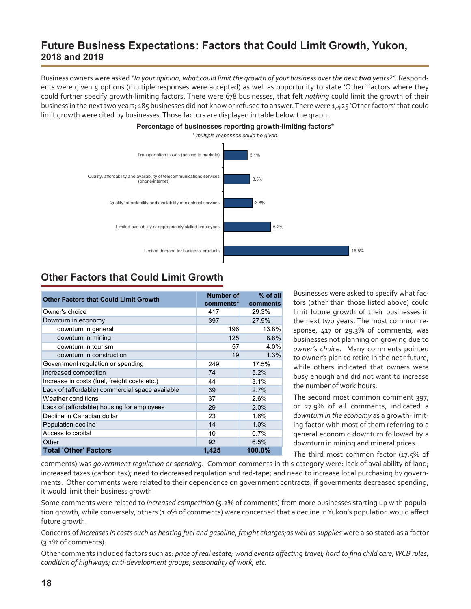# **Future Business Expectations: Factors that Could Limit Growth, Yukon, 2018 and 2019**

Business owners were asked "In your opinion, what could limit the growth of your business over the next **two** years?". Respondents were given 5 options (multiple responses were accepted) as well as opportunity to state 'Other' factors where they could further specify growth-limiting factors. There were 678 businesses, that felt *nothing* could limit the growth of their business in the next two years; 185 businesses did not know or refused to answer.There were 1,425 'Other factors' that could limit growth were cited by businesses. Those factors are displayed in table below the graph.



# **Other Factors that Could Limit Growth**

| <b>Other Factors that Could Limit Growth</b>    | Number of<br>comments* | $%$ of all<br>comments |
|-------------------------------------------------|------------------------|------------------------|
| Owner's choice                                  | 417                    | 29.3%                  |
| Downturn in economy                             | 397                    | 27.9%                  |
| downturn in general                             | 196                    | 13.8%                  |
| downturn in mining                              | 125                    | 8.8%                   |
| downturn in tourism                             | 57                     | 4.0%                   |
| downturn in construction                        | 19                     | 1.3%                   |
| Government regulation or spending               | 249                    | 17.5%                  |
| Increased competition                           | 74                     | 5.2%                   |
| Increase in costs (fuel, freight costs etc.)    | 44                     | 3.1%                   |
| Lack of (affordable) commercial space available | 39                     | 2.7%                   |
| Weather conditions                              | 37                     | 2.6%                   |
| Lack of (affordable) housing for employees      | 29                     | 2.0%                   |
| Decline in Canadian dollar                      | 23                     | 1.6%                   |
| Population decline                              | 14                     | 1.0%                   |
| Access to capital                               | 10                     | 0.7%                   |
| Other                                           | 92                     | 6.5%                   |
| <b>Total 'Other' Factors</b>                    | 1.425                  | 100.0%                 |

Businesses were asked to specify what factors (other than those listed above) could limit future growth of their businesses in the next two years. The most common response, 417 or 29.3% of comments, was businesses not planning on growing due to *owner's choice*. Many comments pointed to owner's plan to retire in the near future, while others indicated that owners were busy enough and did not want to increase the number of work hours.

The second most common comment 397, or 27.9% of all comments, indicated a *downturn in the economy* as a growth-limiting factor with most of them referring to a general economic downturn followed by a downturn in mining and mineral prices.

The third most common factor (17.5% of

comments) was *government regulation or spending*. Common comments in this category were: lack of availability of land; increased taxes (carbon tax); need to decreased regulation and red-tape; and need to increase local purchasing by governments. Other comments were related to their dependence on government contracts: if governments decreased spending, it would limit their business growth.

Some comments were related to *increased competition* (5.2% of comments) from more businesses starting up with population growth, while conversely, others (1.0% of comments) were concerned that a decline in Yukon's population would affect future growth.

Concerns of *increases in costs such as heating fuel and gasoline; freight charges;as well as supplies* were also stated as a factor (3.1% of comments).

Other comments included factors such as: *price of real estate; world events affecting travel; hard to find child care; WCB rules; condition of highways; anti-development groups; seasonality of work, etc.*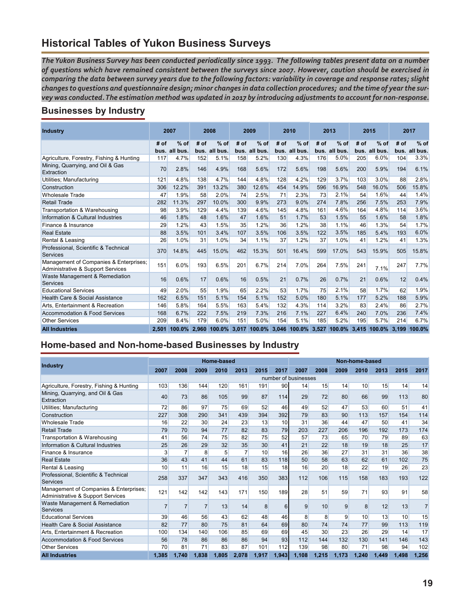# **Historical Tables of Yukon Business Surveys**

*The Yukon Business Survey has been conducted periodically since 1993. The following tables present data on a number of questions which have remained consistent between the surveys since 2007. However, caution should be exercised in comparing the data between survey years due to the following factors: variability in coverage and response rates; slight changes to questions and questionnaire design; minor changes in data collection procedures; and the time of year the survey was conducted. The estimation method was updated in 2017 by introducing adjustments to account for non-response.*

## **Businesses by Industry**

| <b>Industry</b>                                                             |       | 2007     |      | 2008                      | 2009 |               | 2010 |               | 2013 |                                                     | 2015 |          |      | 2017          |
|-----------------------------------------------------------------------------|-------|----------|------|---------------------------|------|---------------|------|---------------|------|-----------------------------------------------------|------|----------|------|---------------|
|                                                                             | # of  | $%$ of   | # of | $%$ of                    | # of | $%$ of        | # of | $%$ of        | # of | $%$ of                                              | # of | $%$ of   | # of | $%$ of        |
|                                                                             | bus.  | all bus. |      | bus. all bus.             |      | bus. all bus. |      | bus. all bus. |      | bus. all bus.                                       | bus. | all bus. |      | bus. all bus. |
| Agriculture, Forestry, Fishing & Hunting                                    | 117   | 4.7%     | 152  | 5.1%                      | 158  | 5.2%          | 130  | 4.3%          | 176  | 5.0%                                                | 205  | 6.0%     | 104  | 3.3%          |
| Mining, Quarrying, and Oil & Gas<br>Extraction                              | 70    | 2.8%     | 146  | 4.9%                      | 168  | 5.6%          | 172  | 5.6%          | 198  | 5.6%                                                | 200  | 5.9%     | 194  | 6.1%          |
| Utilities; Manufacturing                                                    | 121   | 4.8%     | 138  | 4.7%                      | 144  | 4.8%          | 128  | 4.2%          | 129  | 3.7%                                                | 103  | 3.0%     | 88   | 2.8%          |
| Construction                                                                | 306   | 12.2%    | 391  | 13.2%                     | 380  | 12.6%         | 454  | 14.9%         | 596  | 16.9%                                               | 548  | 16.0%    | 506  | 15.8%         |
| <b>Wholesale Trade</b>                                                      | 47    | 1.9%     | 58   | 2.0%                      | 74   | 2.5%          | 71   | 2.3%          | 73   | 2.1%                                                | 54   | 1.6%     | 44   | 1.4%          |
| <b>Retail Trade</b>                                                         | 282   | 11.3%    | 297  | 10.0%                     | 300  | 9.9%          | 273  | 9.0%          | 274  | 7.8%                                                | 256  | 7.5%     | 253  | 7.9%          |
| Transportation & Warehousing                                                | 98    | 3.9%     | 129  | 4.4%                      | 139  | 4.6%          | 145  | 4.8%          | 161  | 4.6%                                                | 164  | 4.8%     | 114  | 3.6%          |
| Information & Cultural Industries                                           | 46    | 1.8%     | 48   | 1.6%                      | 47   | 1.6%          | 51   | 1.7%          | 53   | 1.5%                                                | 55   | 1.6%     | 58   | 1.8%          |
| Finance & Insurance                                                         | 29    | 1.2%     | 43   | 1.5%                      | 35   | 1.2%          | 36   | 1.2%          | 38   | 1.1%                                                | 46   | 1.3%     | 54   | 1.7%          |
| <b>Real Estate</b>                                                          | 88    | 3.5%     | 101  | 3.4%                      | 107  | 3.5%          | 106  | 3.5%          | 122  | 3.5%                                                | 185  | 5.4%     | 193  | 6.0%          |
| Rental & Leasing                                                            | 26    | 1.0%     | 31   | 1.0%                      | 34   | 1.1%          | 37   | 1.2%          | 37   | 1.0%                                                | 41   | 1.2%     | 41   | 1.3%          |
| Professional, Scientific & Technical<br>Services                            | 370   | 14.8%    | 445  | 15.0%                     | 462  | 15.3%         | 501  | 16.4%         | 599  | 17.0%                                               | 543  | 15.9%    | 505  | 15.8%         |
| Management of Companies & Enterprises;<br>Administrative & Support Services | 151   | 6.0%     | 193  | 6.5%                      | 201  | 6.7%          | 214  | 7.0%          | 264  | 7.5%                                                | 241  | 7.1%     | 247  | 7.7%          |
| Waste Management & Remediation<br>Services                                  | 16    | 0.6%     | 17   | 0.6%                      | 16   | 0.5%          | 21   | 0.7%          | 26   | 0.7%                                                | 21   | 0.6%     | 12   | 0.4%          |
| <b>Educational Services</b>                                                 | 49    | 2.0%     | 55   | 1.9%                      | 65   | 2.2%          | 53   | 1.7%          | 75   | 2.1%                                                | 58   | 1.7%     | 62   | 1.9%          |
| Health Care & Social Assistance                                             | 162   | 6.5%     | 151  | 5.1%                      | 154  | 5.1%          | 152  | 5.0%          | 180  | 5.1%                                                | 177  | 5.2%     | 188  | 5.9%          |
| Arts. Entertainment & Recreation                                            | 146   | 5.8%     | 164  | 5.5%                      | 163  | 5.4%          | 132  | 4.3%          | 114  | 3.2%                                                | 83   | 2.4%     | 86   | 2.7%          |
| <b>Accommodation &amp; Food Services</b>                                    | 168   | 6.7%     | 222  | 7.5%                      | 219  | 7.3%          | 216  | 7.1%          | 227  | 6.4%                                                | 240  | 7.0%     | 236  | 7.4%          |
| <b>Other Services</b>                                                       | 209   | 8.4%     | 179  | 6.0%                      | 151  | 5.0%          | 154  | 5.1%          | 185  | 5.2%                                                | 195  | 5.7%     | 214  | 6.7%          |
| <b>All Industries</b>                                                       | 2.501 |          |      | 100.0% 2,960 100.0% 3,017 |      |               |      |               |      | 100.0% 3,046 100.0% 3,527 100.0% 3,415 100.0% 3,199 |      |          |      | 100.0%        |

## **Home-based and Non-home-based Businesses by Industry**

|                                                                             |                |       |       | <b>Home-based</b> |       |       |       | Non-home-based       |       |       |       |       |       |                |
|-----------------------------------------------------------------------------|----------------|-------|-------|-------------------|-------|-------|-------|----------------------|-------|-------|-------|-------|-------|----------------|
| Industry                                                                    | 2007           | 2008  | 2009  | 2010              | 2013  | 2015  | 2017  | 2007                 | 2008  | 2009  | 2010  | 2013  | 2015  | 2017           |
|                                                                             |                |       |       |                   |       |       |       | number of businesses |       |       |       |       |       |                |
| Agriculture, Forestry, Fishing & Hunting                                    | 103            | 136   | 144   | 120               | 161   | 191   | 90    | 14                   | 15    | 14    | 10    | 15    | 14    | 14             |
| Mining, Quarrying, and Oil & Gas<br>Extraction                              | 40             | 73    | 86    | 105               | 99    | 87    | 114   | 29                   | 72    | 80    | 66    | 99    | 113   | 80             |
| Utilities; Manufacturing                                                    | 72             | 86    | 97    | 75                | 69    | 52    | 46    | 49                   | 52    | 47    | 53    | 60    | 51    | 41             |
| Construction                                                                | 227            | 308   | 290   | 341               | 439   | 394   | 392   | 79                   | 83    | 90    | 113   | 157   | 154   | 114            |
| <b>Wholesale Trade</b>                                                      | 16             | 22    | 30    | 24                | 23    | 13    | 10    | 31                   | 36    | 44    | 47    | 50    | 41    | 34             |
| <b>Retail Trade</b>                                                         | 79             | 70    | 94    | 77                | 82    | 83    | 79    | 203                  | 227   | 206   | 196   | 192   | 173   | 174            |
| Transportation & Warehousing                                                | 41             | 56    | 74    | 75                | 82    | 75    | 52    | 57                   | 73    | 65    | 70    | 79    | 89    | 63             |
| Information & Cultural Industries                                           | 25             | 26    | 29    | 32                | 35    | 30    | 41    | 21                   | 22    | 18    | 19    | 18    | 25    | 17             |
| Finance & Insurance                                                         | 3              |       | 8     | 5                 |       | 10    | 16    | 26                   | 36    | 27    | 31    | 31    | 36    | 38             |
| <b>Real Estate</b>                                                          | 36             | 43    | 41    | 44                | 61    | 83    | 118   | 50                   | 58    | 63    | 62    | 61    | 102   | 75             |
| Rental & Leasing                                                            | 10             | 11    | 16    | 15                | 18    | 15    | 18    | 16                   | 20    | 18    | 22    | 19    | 26    | 23             |
| Professional, Scientific & Technical<br><b>Services</b>                     | 258            | 337   | 347   | 343               | 416   | 350   | 383   | 112                  | 106   | 115   | 158   | 183   | 193   | 122            |
| Management of Companies & Enterprises;<br>Administrative & Support Services | 121            | 142   | 142   | 143               | 171   | 150   | 189   | 28                   | 51    | 59    | 71    | 93    | 91    | 58             |
| Waste Management & Remediation<br>Services                                  | $\overline{7}$ |       |       | 13                | 14    | 8     | 6     | 9                    | 10    | 9     | 8     | 12    | 13    | $\overline{7}$ |
| <b>Educational Services</b>                                                 | 39             | 46    | 56    | 43                | 62    | 48    | 46    | 8                    | 8     | 9     | 10    | 13    | 10    | 15             |
| Health Care & Social Assistance                                             | 82             | 77    | 80    | 75                | 81    | 64    | 69    | 80                   | 74    | 74    | 77    | 99    | 113   | 119            |
| Arts. Entertainment & Recreation                                            | 100            | 134   | 140   | 106               | 85    | 69    | 69    | 45                   | 30    | 23    | 26    | 29    | 14    | 17             |
| Accommodation & Food Services                                               | 56             | 78    | 86    | 86                | 86    | 94    | 93    | 112                  | 144   | 132   | 130   | 141   | 146   | 143            |
| <b>Other Services</b>                                                       | 70             | 81    | 71    | 83                | 87    | 101   | 112   | 139                  | 98    | 80    | 71    | 98    | 94    | 102            |
| <b>All Industries</b>                                                       | 1,385          | 1,740 | 1,838 | 1,805             | 2,078 | 1,917 | 1,943 | 1,108                | 1.215 | 1.173 | 1,240 | 1,449 | 1,498 | 1,256          |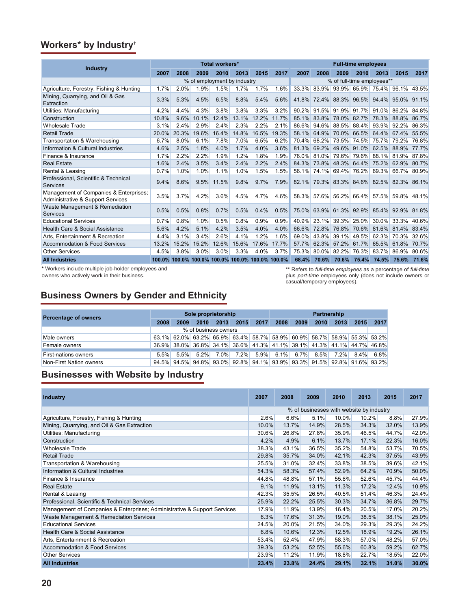## **Workers\* by Industry†**

|                                                                             | <b>Total workers*</b> |       |                                                  |       |       |       |         |                            | <b>Full-time employees</b> |             |                               |                   |             |       |  |
|-----------------------------------------------------------------------------|-----------------------|-------|--------------------------------------------------|-------|-------|-------|---------|----------------------------|----------------------------|-------------|-------------------------------|-------------------|-------------|-------|--|
| Industry                                                                    | 2007                  | 2008  | 2009                                             | 2010  | 2013  | 2015  | 2017    | 2007                       | 2008                       | 2009        | 2010                          | 2013              | 2015        | 2017  |  |
|                                                                             |                       |       | % of employment by industry                      |       |       |       |         | % of full-time employees** |                            |             |                               |                   |             |       |  |
| Agriculture, Forestry, Fishing & Hunting                                    | 1.7%                  | 2.0%  | 1.9%                                             | 1.5%  | 1.7%  | 1.7%  | 1.6%    |                            |                            |             | 33.3% 83.9% 93.9% 65.9% 75.4% |                   | 96.1% 43.5% |       |  |
| Mining, Quarrying, and Oil & Gas<br>Extraction                              | 3.3%                  | 5.3%  | 4.5%                                             | 6.5%  | 8.8%  | 5.4%  | 5.6%    | 41.8%                      |                            |             | 72.4% 88.3% 96.5% 94.4%       |                   | 95.0%       | 91.1% |  |
| Utilities; Manufacturing                                                    | 4.2%                  | 4.4%  | 4.3%                                             | 3.8%  | 3.8%  | 3.3%  | $3.2\%$ | 90.2%                      |                            |             | 91.5% 91.9% 91.7%             | 91.0%             | 86.2%       | 84.8% |  |
| Construction                                                                | 10.8%                 | 9.6%  | 10.1%                                            | 12.4% | 13.1% | 12.2% | 11.7%   | 85.1%                      | 83.8% 78.0% 82.7%          |             |                               | 78.3%             | 88.8%       | 86.7% |  |
| <b>Wholesale Trade</b>                                                      | 3.1%                  | 2.4%  | 2.9%                                             | 2.4%  | 2.3%  | 2.2%  | 2.1%    | 86.6%                      |                            |             | 94.6% 88.5% 88.4% 93.9%       |                   | 92.2%       | 86.3% |  |
| <b>Retail Trade</b>                                                         | 20.0%                 | 20.3% | 19.6%                                            | 16.4% | 14.8% | 16.5% | 19.3%   | 58.1%                      |                            | 64.9% 70.0% | 66.5%                         | 64.4%             | 67.4%       | 55.5% |  |
| Transportation & Warehousing                                                | 6.7%                  | 8.0%  | 6.1%                                             | 7.8%  | 7.0%  | 6.5%  | 6.2%    | 70.4%                      | 68.2%                      | 73.5%       | 74.5%                         | 75.7%             | 79.2%       | 76.8% |  |
| Information & Cultural Industries                                           | 4.6%                  | 2.5%  | 1.8%                                             | 4.0%  | 1.7%  | 4.0%  | 3.6%    | 81.3%                      | 69.2%                      | 49.6%       | 91.0%                         | 62.5%             | 88.9%       | 77.7% |  |
| Finance & Insurance                                                         | 1.7%                  | 2.2%  | 2.2%                                             | 1.9%  | 1.2%  | 1.8%  | 1.9%    | 76.0%                      |                            |             | 81.0% 79.6% 79.6% 88.1% 81.9% |                   |             | 87.8% |  |
| <b>Real Estate</b>                                                          | 1.6%                  | 2.4%  | 3.5%                                             | 3.4%  | 2.4%  | 2.2%  | 2.4%    | 84.3%                      | 73.8%                      | 48.3%       | 64.4%                         | 75.2%             | 62.9%       | 80.7% |  |
| Rental & Leasing                                                            | 0.7%                  | 1.0%  | 1.0%                                             | 1.1%  | 1.0%  | 1.5%  | 1.5%    | 56.1%                      |                            |             | 74.1% 69.4% 76.2% 69.3%       |                   | 66.7%       | 80.9% |  |
| Professional, Scientific & Technical<br>Services                            | 9.4%                  | 8.6%  | 9.5%                                             | 11.5% | 9.8%  | 9.7%  | 7.9%    | 82.1%                      |                            |             | 79.3% 83.3% 84.6% 82.5% 82.3% |                   |             | 86.1% |  |
| Management of Companies & Enterprises;<br>Administrative & Support Services | 3.5%                  | 3.7%  | 4.2%                                             | 3.6%  | 4.5%  | 4.7%  | $4.6\%$ |                            |                            |             | 58.3% 57.6% 56.2% 66.4% 57.5% |                   | 59.8% 48.1% |       |  |
| Waste Management & Remediation<br>Services                                  | 0.5%                  | 0.5%  | 0.8%                                             | 0.7%  | 0.5%  | 0.4%  | 0.5%    | 75.0%                      |                            |             | 63.9% 61.3% 92.9% 85.4%       |                   | 92.9%       | 81.8% |  |
| <b>Educational Services</b>                                                 | 0.7%                  | 0.8%  | 1.0%                                             | 0.5%  | 0.8%  | 0.9%  | 0.9%    | 40.9%                      | 23.1%                      |             | 39.3% 25.0%                   | $30.0\%$          | 33.3%       | 40.6% |  |
| Health Care & Social Assistance                                             | 5.6%                  | 4.2%  | 5.1%                                             | 4.2%  | 3.5%  | 4.0%  | 4.0%    | 66.6%                      | 72.8%                      | 76.8%       | 70.6%                         | 81.6%             | 81.4%       | 83.4% |  |
| Arts. Entertainment & Recreation                                            | 4.4%                  | 3.1%  | 3.4%                                             | 2.6%  | 4.1%  | 1.2%  | 1.6%    | 69.0%                      | 43.8%                      | 39.1%       | 49.5%                         | 62.3%             | 70.3%       | 32.6% |  |
| Accommodation & Food Services                                               | 13.2%                 | 15.2% | 15.2%                                            | 12.6% | 15.6% | 17.6% | 17.7%   | 57.7%                      | 62.3%                      | 57.2%       | 61.7%                         | 65.5%             | 61.8%       | 70.7% |  |
| <b>Other Services</b>                                                       | 4.5%                  | 3.8%  | 3.0%                                             | 3.0%  | 3.3%  | 4.0%  | 3.7%    | 75.3%                      |                            | 80.0% 82.2% |                               | 76.3% 83.7% 86.9% |             | 80.6% |  |
| <b>All Industries</b>                                                       |                       |       | 100.0% 100.0% 100.0% 100.0% 100.0% 100.0% 100.0% |       |       |       |         | 68.4%                      | 70.6%                      |             | 70.6% 75.4%                   | 74.5%             | 75.6%       | 71.6% |  |

**\*** Workers include multiple job-holder employees and

owners who actively work in their business.

\*\* Refers to *full-time employees* as a percentage of *full-time* plus *part-time* employees only (does not include owners or casual/temporary employees).

## **Business Owners by Gender and Ethnicity**

| Percentage of owners        |         |      | Sole proprietorship  |         |         |      | Partnership       |      |                                                                         |           |         |      |  |
|-----------------------------|---------|------|----------------------|---------|---------|------|-------------------|------|-------------------------------------------------------------------------|-----------|---------|------|--|
|                             | 2008    | 2009 | 2010                 | 2013    | 2015    | 2017 | 2008              | 2009 | 2010                                                                    | 2013      | 2015    | 2017 |  |
|                             |         |      | % of business owners |         |         |      |                   |      |                                                                         |           |         |      |  |
| Male owners                 |         |      |                      |         |         |      |                   |      | 63.1% 62.0% 63.2% 65.9% 63.4% 58.7% 58.9% 60.9% 58.7% 58.9% 55.3% 53.2% |           |         |      |  |
| Female owners               |         |      |                      |         |         |      |                   |      | 36.9% 38.0% 36.8% 34.1% 36.6% 41.3% 41.1% 39.1% 41.3% 41.1% 44.7% 46.8% |           |         |      |  |
| <b>First-nations owners</b> | $5.5\%$ |      | $5.5\%$ $5.2\%$      | $7.0\%$ | $7.2\%$ |      | $5.9\%$ 6.1% 6.7% |      |                                                                         | 8.5% 7.2% | $8.4\%$ | 6.8% |  |
| Non-First Nation owners     |         |      |                      |         |         |      |                   |      | 94.5% 94.5% 94.8% 93.0% 92.8% 94.1% 93.9% 93.3% 91.5% 92.8% 91.6% 93.2% |           |         |      |  |

## **Businesses with Website by Industry**

| <b>Industry</b>                                                          | 2007  | 2008  | 2009  | 2010                                     | 2013  | 2015  | 2017  |
|--------------------------------------------------------------------------|-------|-------|-------|------------------------------------------|-------|-------|-------|
|                                                                          |       |       |       | % of businesses with website by industry |       |       |       |
| Agriculture, Forestry, Fishing & Hunting                                 | 2.6%  | 6.6%  | 5.1%  | 10.0%                                    | 10.2% | 8.8%  | 27.9% |
| Mining, Quarrying, and Oil & Gas Extraction                              | 10.0% | 13.7% | 14.9% | 28.5%                                    | 34.3% | 32.0% | 13.9% |
| Utilities; Manufacturing                                                 | 30.6% | 26.8% | 27.8% | 35.9%                                    | 46.5% | 44.7% | 42.0% |
| Construction                                                             | 4.2%  | 4.9%  | 6.1%  | 13.7%                                    | 17.1% | 22.3% | 16.0% |
| <b>Wholesale Trade</b>                                                   | 38.3% | 43.1% | 36.5% | 35.2%                                    | 54.8% | 53.7% | 70.5% |
| <b>Retail Trade</b>                                                      | 29.8% | 35.7% | 34.0% | 42.1%                                    | 42.3% | 37.5% | 43.9% |
| Transportation & Warehousing                                             | 25.5% | 31.0% | 32.4% | 33.8%                                    | 38.5% | 39.6% | 42.1% |
| Information & Cultural Industries                                        | 54.3% | 58.3% | 57.4% | 52.9%                                    | 64.2% | 70.9% | 50.0% |
| Finance & Insurance                                                      | 44.8% | 48.8% | 57.1% | 55.6%                                    | 52.6% | 45.7% | 44.4% |
| <b>Real Estate</b>                                                       | 9.1%  | 11.9% | 13.1% | 11.3%                                    | 17.2% | 12.4% | 10.9% |
| Rental & Leasing                                                         | 42.3% | 35.5% | 26.5% | 40.5%                                    | 51.4% | 46.3% | 24.4% |
| Professional, Scientific & Technical Services                            | 25.9% | 22.2% | 25.5% | 30.3%                                    | 34.7% | 36.8% | 29.7% |
| Management of Companies & Enterprises; Administrative & Support Services | 17.9% | 11.9% | 13.9% | 16.4%                                    | 20.5% | 17.0% | 20.2% |
| Waste Management & Remediation Services                                  | 6.3%  | 17.6% | 31.3% | 19.0%                                    | 38.5% | 38.1% | 25.0% |
| <b>Educational Services</b>                                              | 24.5% | 20.0% | 21.5% | 34.0%                                    | 29.3% | 29.3% | 24.2% |
| Health Care & Social Assistance                                          | 6.8%  | 10.6% | 12.3% | 12.5%                                    | 18.9% | 19.2% | 26.1% |
| Arts, Entertainment & Recreation                                         | 53.4% | 52.4% | 47.9% | 58.3%                                    | 57.0% | 48.2% | 57.0% |
| Accommodation & Food Services                                            | 39.3% | 53.2% | 52.5% | 55.6%                                    | 60.8% | 59.2% | 62.7% |
| <b>Other Services</b>                                                    | 23.9% | 11.2% | 11.9% | 18.8%                                    | 22.7% | 18.5% | 22.0% |
| <b>All Industries</b>                                                    | 23.4% | 23.8% | 24.4% | 29.1%                                    | 32.1% | 31.0% | 30.0% |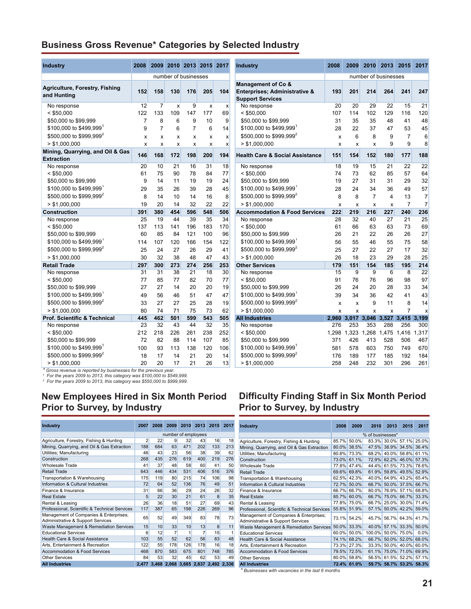## **Business Gross Revenue\* Categories by Selected Industry**

| Industry                                              | 2008           |                |                      |                | 2009 2010 2013 2015 2017 |                           | <b>Industry</b>                                                                           | 2008  | 2009 |                           | 2010 2013 2015 |                | 2017                      |
|-------------------------------------------------------|----------------|----------------|----------------------|----------------|--------------------------|---------------------------|-------------------------------------------------------------------------------------------|-------|------|---------------------------|----------------|----------------|---------------------------|
|                                                       |                |                | number of businesses |                |                          |                           |                                                                                           |       |      | number of businesses      |                |                |                           |
| <b>Agriculture, Forestry, Fishing</b><br>and Hunting  | 152            | 158            | 130                  | 176            | 205                      | 104                       | <b>Management of Co &amp;</b><br>Enterprises; Administrative &<br><b>Support Services</b> | 193   | 201  | 214                       | 264            | 241            | 247                       |
| No response                                           | 12             | $\overline{7}$ | x                    | 9              | x                        | $\boldsymbol{x}$          | No response                                                                               | 20    | 20   | 29                        | 22             | 15             | 21                        |
| $<$ \$50,000                                          | 122            | 133            | 109                  | 147            | 177                      | 69                        | $<$ \$50,000                                                                              | 107   | 114  | 102                       | 129            | 116            | 120                       |
| \$50,000 to \$99,999                                  | $\overline{7}$ | 8              | 6                    | 9              | 10                       | 9                         | \$50,000 to \$99,999                                                                      | 31    | 35   | 35                        | 48             | 41             | 48                        |
| \$100,000 to \$499,999                                | 9              | $\overline{7}$ | 6                    | $\overline{7}$ | 6                        | 14                        | \$100,000 to \$499,999                                                                    | 28    | 22   | 37                        | 47             | 53             | 45                        |
| \$500,000 to \$999,999 <sup>2</sup>                   | х              | x              | x                    | x              | x                        | $\mathsf{x}$              | \$500,000 to \$999,999 <sup>2</sup>                                                       | X     | 6    | 8                         | 9              | $\overline{7}$ | 6                         |
| > \$1,000,000                                         | X              | X              | X                    | X              | X                        | $\boldsymbol{\mathsf{x}}$ | > \$1.000.000                                                                             | X     | x    | X                         | 9              | 9              | 8                         |
| Mining, Quarrying, and Oil & Gas<br><b>Extraction</b> | 146            | 168            | 172                  | 198            | 200                      | 194                       | <b>Health Care &amp; Social Assistance</b>                                                | 151   | 154  | 152                       | 180            | 177            | 188                       |
| No response                                           | 20             | 10             | 21                   | 16             | 31                       | 18                        | No response                                                                               | 18    | 19   | 15                        | 21             | 22             | $\overline{22}$           |
| $<$ \$50,000                                          | 61             | 75             | 90                   | 78             | 84                       | 77                        | $<$ \$50,000                                                                              | 74    | 73   | 62                        | 85             | 57             | 64                        |
| \$50,000 to \$99,999                                  | 9              | 14             | 11                   | 19             | 19                       | 24                        | \$50,000 to \$99,999                                                                      | 19    | 27   | 31                        | 31             | 29             | 32                        |
| \$100,000 to \$499,999                                | 29             | 35             | 26                   | 39             | 28                       | 45                        | \$100,000 to \$499,999                                                                    | 28    | 24   | 34                        | 36             | 49             | 57                        |
| \$500,000 to \$999,999 <sup>2</sup>                   | 8              | 14             | 10                   | 14             | 16                       | 8                         | \$500,000 to \$999,999 <sup>2</sup>                                                       | 8     | 8    | $\overline{7}$            | $\overline{4}$ | 13             | $\overline{7}$            |
| > \$1,000,000                                         | 19             | 20             | 14                   | 32             | 22                       | 22                        | > \$1,000,000                                                                             | x     | X    | $\pmb{\times}$            | x              | $\overline{7}$ | $\overline{7}$            |
| <b>Construction</b>                                   | 391            | 380            | 454                  | 596            | 548                      | 506                       | <b>Accommodation &amp; Food Services</b>                                                  | 222   | 219  | 216                       | 227            | 240            | 236                       |
| No response                                           | 25             | 19             | 44                   | 39             | 35                       | 34                        | No response                                                                               | 28    | 32   | 40                        | 27             | 21             | 25                        |
| $<$ \$50.000                                          | 137            | 113            | 141                  | 196            | 183                      | 170                       | $<$ \$50.000                                                                              | 61    | 66   | 63                        | 63             | 73             | 69                        |
| \$50,000 to \$99,999                                  | 60             | 85             | 84                   | 121            | 100                      | 96                        | \$50,000 to \$99,999                                                                      | 26    | 21   | 22                        | 26             | 26             | 27                        |
| \$100,000 to \$499,999                                | 114            | 107            | 120                  | 166            | 154                      | 122                       | \$100,000 to \$499,999                                                                    | 56    | 55   | 46                        | 55             | 75             | 58                        |
| \$500,000 to \$999,999 <sup>2</sup>                   | 25             | 24             | 27                   | 26             | 29                       | 41                        | \$500,000 to \$999,999 <sup>2</sup>                                                       | 25    | 27   | 22                        | 27             | 17             | 32                        |
| > \$1,000,000                                         | 30             | 32             | 38                   | 48             | 47                       | 43                        | > \$1,000,000                                                                             | 26    | 18   | 23                        | 29             | 28             | 25                        |
| <b>Retail Trade</b>                                   | 297            | 300            | 273                  | 274            | 256                      | 253                       | <b>Other Services</b>                                                                     | 179   | 151  | 154                       | 185            | 195            | 214                       |
| No response                                           | 31             | 31             | 38                   | 21             | 18                       | 30                        | No response                                                                               | 15    | 9    | 9                         | 6              | 8              | 22                        |
| $<$ \$50,000                                          | 77             | 85             | 77                   | 82             | 70                       | 77                        | $<$ \$50,000                                                                              | 91    | 76   | 76                        | 96             | 98             | 97                        |
| \$50,000 to \$99,999                                  | 27             | 27             | 14                   | 20             | 20                       | 19                        | \$50,000 to \$99,999                                                                      | 26    | 24   | 20                        | 28             | 33             | 34                        |
| \$100,000 to \$499,999                                | 49             | 56             | 46                   | 51             | 47                       | 47                        | \$100,000 to \$499,999                                                                    | 39    | 34   | 36                        | 42             | 41             | 43                        |
| \$500,000 to \$999.999 <sup>2</sup>                   | 33             | 27             | 27                   | 25             | 28                       | 19                        | \$500,000 to \$999,999 <sup>2</sup>                                                       | х     | x    | 9                         | 11             | 8              | 14                        |
| > \$1.000.000                                         | 80             | 74             | 71                   | 75             | 73                       | 62                        | > \$1.000.000                                                                             | x     | x    | $\boldsymbol{\mathsf{x}}$ | x              | $\overline{7}$ | $\boldsymbol{\mathsf{x}}$ |
| <b>Prof. Scientific &amp; Technical</b>               | 445            | 462            | 501                  | 599            | 543                      | 505                       | <b>All Industries</b>                                                                     | 2.960 |      | 3,017 3,046               | 3,527          | 3,415          | 3.199                     |
| No response                                           | 23             | 32             | 43                   | 44             | 32                       | 35                        | No response                                                                               | 276   | 253  | 353                       | 288            | 256            | 300                       |
| $<$ \$50,000                                          | 212            | 218            | 226                  | 261            | 238                      | 252                       | $<$ \$50,000                                                                              | 1,298 |      | 1,323 1,268               | 1,475          | 1,416          | 1.317                     |
| \$50,000 to \$99,999                                  | 72             | 82             | 88                   | 114            | 107                      | 85                        | \$50,000 to \$99,999                                                                      | 371   | 426  | 413                       | 528            | 506            | 467                       |
| \$100,000 to \$499,999                                | 100            | 93             | 113                  | 138            | 120                      | 106                       | \$100,000 to \$499,999                                                                    | 581   | 578  | 603                       | 750            | 749            | 670                       |
| \$500,000 to \$999,999 <sup>2</sup>                   | 18             | 17             | 14                   | 21             | 20                       | 14                        | \$500,000 to \$999,999 <sup>2</sup>                                                       | 176   | 189  | 177                       | 185            | 192            | 184                       |
| > \$1,000,000                                         | 20             | 20             | 17                   | 21             | 26                       | 13                        | > \$1,000,000                                                                             | 258   | 248  | 232                       | 301            | 296            | 261                       |

\* Gross revenue is reported by businesses for the previous year.<br>1 For the years 2009 to 2013, this category was \$100,000 to \$549,999.<br><sup>2</sup> For the years 2009 to 2013, this category was \$550,000 to \$999,999.

## **New Employees Hired in Six Month Period Prior to Survey, by Industry**

| <b>Industry</b>                                                             | 2007           | 2008                | 2009                                | 2010 | 2013 | 2015 | 2017 |  |  |
|-----------------------------------------------------------------------------|----------------|---------------------|-------------------------------------|------|------|------|------|--|--|
|                                                                             |                | number of employees |                                     |      |      |      |      |  |  |
| Agriculture, Forestry, Fishing & Hunting                                    | $\overline{2}$ | 22                  | 9                                   | 32   | 43   | 16   | 18   |  |  |
| Mining, Quarrying, and Oil & Gas Extraction                                 | 188            | 684                 | 63                                  | 471  | 202  | 133  | 213  |  |  |
| Utilities; Manufacturing                                                    | 46             | 43                  | 23                                  | 56   | 38   | 39   | 62   |  |  |
| Construction                                                                | 268            | 435                 | 276                                 | 619  | 400  | 219  | 276  |  |  |
| <b>Wholesale Trade</b>                                                      | 41             | 37                  | 48                                  | 58   | 60   | 41   | 50   |  |  |
| <b>Retail Trade</b>                                                         | 643            | 446                 | 434                                 | 531  | 406  | 516  | 376  |  |  |
| Transportation & Warehousing                                                | 175            | 119                 | 80                                  | 215  | 74   | 106  | 98   |  |  |
| Information & Cultural Industries                                           | 72             | 64                  | 52                                  | 136  | 76   | 49   | 51   |  |  |
| Finance & Insurance                                                         | 31             | 66                  | 36                                  | 29   | 24   | 26   | 32   |  |  |
| <b>Real Estate</b>                                                          | 5              | 22                  | 30                                  | 21   | 61   | 8    | 35   |  |  |
| Rental & Leasing                                                            | 26             | 36                  | 18                                  | 51   | 27   | 69   | 43   |  |  |
| Professional, Scientific & Technical Services                               | 117            | 387                 | 65                                  | 198  | 226  | 269  | 96   |  |  |
| Management of Companies & Enterprises;<br>Administrative & Support Services | 65             | 52                  | 49                                  | 349  | 83   | 78   | 73   |  |  |
| Waste Management & Remediation Services                                     | 15             | 10                  | 33                                  | 10   | 13   | 8    | 11   |  |  |
| <b>Educational Services</b>                                                 | 6              | 12                  | 7                                   | 1    | 7    | 15   | 1    |  |  |
| Health Care & Social Assistance                                             | 103            | 55                  | 52                                  | 62   | 56   | 83   | 48   |  |  |
| Arts, Entertainment & Recreation                                            | 122            | 55                  | 178                                 | 126  | 178  | 16   | 18   |  |  |
| <b>Accommodation &amp; Food Services</b>                                    | 468            | 870                 | 583                                 | 675  | 801  | 748  | 785  |  |  |
| Other Services                                                              | 84             | 53                  | 32                                  | 45   | 62   | 53   | 49   |  |  |
| <b>All Industries</b>                                                       | 2.477          |                     | 3,468 2,068 3,685 2,837 2,492 2,336 |      |      |      |      |  |  |

| <b>Industry</b>                                                                | 2008     | 2009     | 2010                 | 2013      | 2015                                | 2017           |
|--------------------------------------------------------------------------------|----------|----------|----------------------|-----------|-------------------------------------|----------------|
|                                                                                |          |          | number of businesses |           |                                     |                |
| Management of Co &<br>Enterprises; Administrative &<br><b>Support Services</b> | 193      | 201      | 214                  | 264       | 241                                 | 247            |
| No response                                                                    | 20       | 20       | 29                   | 22        | 15                                  | 21             |
| $<$ \$50,000                                                                   | 107      | 114      | 102                  | 129       | 116                                 | 120            |
| \$50,000 to \$99,999                                                           | 31       | 35       | 35                   | 48        | 41                                  | 48             |
| \$100,000 to \$499,999                                                         | 28       | 22       | 37                   | 47        | 53                                  | 45             |
| \$500,000 to \$999,999 <sup>2</sup>                                            | x        | 6        | 8                    | 9         | 7                                   | 6              |
| > \$1,000,000                                                                  | x        | X        | X                    | 9         | 9                                   | 8              |
| <b>Health Care &amp; Social Assistance</b>                                     | 151      | 154      | 152                  | 180       | 177                                 | 188            |
| No response                                                                    | 18       | 19       | 15                   | 21        | 22                                  | 22             |
| $<$ \$50,000                                                                   | 74       | 73       | 62                   | 85        | 57                                  | 64             |
| \$50,000 to \$99,999                                                           | 19       | 27       | 31                   | 31        | 29                                  | 32             |
| \$100,000 to \$499,999 <sup>1</sup>                                            | 28       | 24       | 34                   | 36        | 49                                  | 57             |
| \$500,000 to \$999,999 <sup>2</sup>                                            | 8        | 8        | 7                    | 4         | 13                                  | $\overline{7}$ |
| > \$1,000,000                                                                  | x        | X        | X                    | X         | 7                                   | $\overline{7}$ |
| <b>Accommodation &amp; Food Services</b>                                       | 222      | 219      | 216                  | 227       | 240                                 | 236            |
| No response                                                                    | 28       | 32       | 40                   | 27        | 21                                  | 25             |
| $<$ \$50,000                                                                   | 61       | 66       | 63                   | 63        | 73                                  | 69             |
| \$50,000 to \$99,999                                                           | 26       | 21       | 22                   | 26        | 26                                  | 27             |
| \$100,000 to \$499,999                                                         | 56       | 55       | 46                   | 55        | 75                                  | 58             |
| \$500,000 to \$999,999 <sup>2</sup>                                            | 25<br>26 | 27<br>18 | 22<br>23             | 27        | 17                                  | 32<br>25       |
| > \$1,000,000<br><b>Other Services</b>                                         | 179      | 151      | 154                  | 29<br>185 | 28<br>195                           | 214            |
| No response                                                                    | 15       | 9        | 9                    | 6         | 8                                   | 22             |
| $<$ \$50,000                                                                   | 91       | 76       | 76                   | 96        | 98                                  | 97             |
| \$50,000 to \$99,999                                                           | 26       | 24       | 20                   | 28        | 33                                  | 34             |
| \$100,000 to \$499,999                                                         | 39       | 34       | 36                   | 42        | 41                                  | 43             |
| \$500,000 to \$999,999 <sup>2</sup>                                            | x        | x        | 9                    | 11        | 8                                   | 14             |
| > \$1,000,000                                                                  | X        | X        | x                    | X         | 7                                   | x              |
| <b>All Industries</b>                                                          |          |          |                      |           | 2,960 3,017 3,046 3,527 3,415 3,199 |                |
| No response                                                                    | 276      | 253      | 353                  | 288       | 256                                 | 300            |
| $<$ \$50,000                                                                   | 1,298    | 1,323    | 1,268                | 1,475     | 1,416                               | 1,317          |
| \$50,000 to \$99,999                                                           | 371      | 426      | 413                  | 528       | 506                                 | 467            |
| \$100,000 to \$499,999                                                         | 581      | 578      | 603                  | 750       | 749                                 | 670            |
| \$500,000 to \$999,999 <sup>2</sup>                                            | 176      | 189      | 177                  | 185       | 192                                 | 184            |
| > \$1,000,000                                                                  | 258      | 248      | 232                  | 301       | 296                                 | 261            |

## **Difficulty Finding Staff in Six Month Period Prior to Survey, by Industry**

| <b>Industry</b>                                                                        | 2008  | 2009        | 2010             | 2013        | 2015                    | 2017        |
|----------------------------------------------------------------------------------------|-------|-------------|------------------|-------------|-------------------------|-------------|
|                                                                                        |       |             | % of businesses* |             |                         |             |
| Agriculture, Forestry, Fishing & Hunting                                               | 85.7% | 50.0%       |                  | 83.3% 30.0% | 57.1%                   | 25.0%       |
| Mining, Quarrying, and Oil & Gas Extraction                                            | 80.0% | 38.5%       | 47.5%            | 38.9%       | 34.5%                   | 36.4%       |
| Utilities; Manufacturing                                                               |       | 80.8% 73.3% | 68.2%            |             | 40.0% 58.8%             | 61.1%       |
| Construction                                                                           | 73.0% | 61.1%       | 72.9%            |             | 62.2% 46.0% 57.3%       |             |
| <b>Wholesale Trade</b>                                                                 | 77.8% | 47.4%       | 44.4%            | 61.5%       | 73.3%                   | 78.6%       |
| Retail Trade                                                                           | 69.6% | 69.8%       | 61.9%            | 59.8%       | 49.5%                   | 52.9%       |
| Transportation & Warehousing                                                           | 62.5% | 42.3%       | 40.0%            | 64.9%       | 43.2%                   | 65.4%       |
| Information & Cultural Industries                                                      | 72.7% | 50.0%       | 66.7%            |             | 50.0% 37.5%             | 66.7%       |
| Finance & Insurance                                                                    | 66.7% | 66.7%       | 80.0%            |             | 76.9% 57.1% 68.8%       |             |
| Real Estate                                                                            | 85.7% | 60.0%       | 66.7%            |             | 75.0% 66.7%             | 33.3%       |
| Rental & Leasing                                                                       |       | 77.8% 75.0% | 66.7%            | 25.0%       |                         | 30.0% 71.4% |
| Professional, Scientific & Technical Services                                          | 55.8% | 51.9%       | 57.1%            |             | 50.0% 42.2%             | 59.0%       |
| Management of Companies & Enterprises;<br><b>Administrative &amp; Support Services</b> | 73.1% | 54.2%       | 45.7%            |             | 56.7% 64.3% 41.7%       |             |
| Waste Management & Remediation Services                                                | 50.0% | 33.3%       | 40.0%            | 57.1%       | 33.3% 50.0%             |             |
| <b>Educational Services</b>                                                            | 60.0% | 50.0%       | 100.0%           | 50.0%       | 75.0%                   | 0.0%        |
| Health Care & Social Assistance                                                        | 74.1% | 68.2%       | 66.7%            |             | 50.0% 52.0%             | 68.0%       |
| Arts, Entertainment & Recreation                                                       | 73.3% | 27.3%       | 33.3%            | 50.0%       | 40.0%                   | 60.0%       |
| Accommodation & Food Services                                                          | 79.5% | 72.5%       | 61.1%            |             | 75.0% 71.0%             | 69.9%       |
| <b>Other Services</b>                                                                  | 80.0% | 58.8%       |                  |             | 56.5% 61.5% 52.2% 57.1% |             |
| <b>All Industries</b>                                                                  |       | 72.4% 61.0% |                  |             | 59.7% 58.7% 53.2%       | 58.3%       |

*\* Businesses with vacancies in the last 6 months*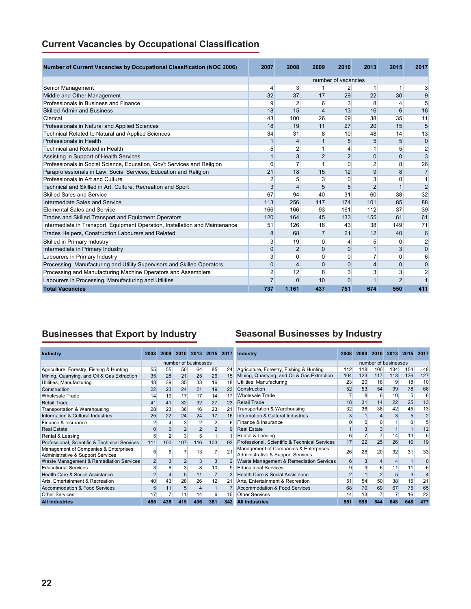|  |  |  | <b>Current Vacancies by Occupational Classification</b> |  |
|--|--|--|---------------------------------------------------------|--|
|--|--|--|---------------------------------------------------------|--|

| <b>Number of Current Vacancies by Occupational Classification (NOC 2006)</b> | 2007           | 2008           | 2009           | 2010                | 2013           | 2015           | 2017           |
|------------------------------------------------------------------------------|----------------|----------------|----------------|---------------------|----------------|----------------|----------------|
|                                                                              |                |                |                | number of vacancies |                |                |                |
| Senior Management                                                            | 4              | 3              |                | 2                   |                |                | 3              |
| Middle and Other Management                                                  | 32             | 37             | 17             | 29                  | 22             | 30             | 9              |
| Professionals in Business and Finance                                        | 9              | $\overline{2}$ | 6              | 3                   | 8              | 4              | 5              |
| <b>Skilled Admin and Business</b>                                            | 18             | 15             | 4              | 13                  | 16             | 6              | 16             |
| Clerical                                                                     | 43             | 100            | 26             | 69                  | 38             | 35             | 11             |
| Professionals in Natural and Applied Sciences                                | 18             | 19             | 11             | 27                  | 20             | 15             | 5              |
| Technical Related to Natural and Applied Sciences                            | 34             | 31             | 8              | 10                  | 48             | 14             | 13             |
| Professionals in Health                                                      | $\mathbf{1}$   | 4              | 1              | 5                   | 5              | 5              | $\mathbf 0$    |
| <b>Technical and Related in Health</b>                                       | 5              | $\overline{2}$ | $\mathbf{1}$   | 4                   |                | 5              | $\overline{2}$ |
| Assisting in Support of Health Services                                      | $\mathbf{1}$   | 3              | $\overline{2}$ | $\overline{2}$      | $\mathbf{0}$   | $\mathbf 0$    | 3              |
| Professionals in Social Science, Education, Gov't Services and Religion      | 6              | 7              | 1              | 0                   | $\overline{2}$ | 8              | 26             |
| Paraprofessionals in Law, Social Services, Education and Religion            | 21             | 18             | 15             | 12                  | 9              | 8              | $\overline{7}$ |
| Professionals in Art and Culture                                             | 2              | 5              | 3              | 0                   | 3              | $\Omega$       | $\mathbf{1}$   |
| Technical and Skilled in Art, Culture, Recreation and Sport                  | 3              | 4              | 5              | 5                   | $\overline{2}$ |                | $\overline{2}$ |
| Skilled Sales and Service                                                    | 67             | 94             | 40             | 31                  | 60             | 38             | 32             |
| Intermediate Sales and Service                                               | 113            | 256            | 117            | 174                 | 101            | 85             | 88             |
| <b>Elemental Sales and Service</b>                                           | 166            | 166            | 93             | 161                 | 112            | 37             | 39             |
| Trades and Skilled Transport and Equipment Operators                         | 120            | 164            | 45             | 133                 | 155            | 61             | 61             |
| Intermediate in Transport, Equipment Operation, Installation and Maintenance | 51             | 126            | 16             | 43                  | 38             | 149            | 71             |
| Trades Helpers, Construction Labourers and Related                           | 8              | 68             | $\overline{7}$ | 21                  | 12             | 40             | 6              |
| Skilled in Primary Industry                                                  | $\overline{3}$ | 19             | $\Omega$       | 4                   | 5              | 0              | $\overline{2}$ |
| Intermediate in Primary Industry                                             | 0              | $\overline{2}$ | $\Omega$       | $\Omega$            | 1              | 3              | $\mathbf{0}$   |
| Labourers in Primary Industry                                                | $\overline{3}$ | 0              | $\Omega$       | 0                   | 7              | $\Omega$       | 6              |
| Processing, Manufacturing and Utility Supervisors and Skilled Operators      | $\overline{0}$ | 4              | $\Omega$       | $\Omega$            | $\overline{4}$ | $\Omega$       | $\mathbf{0}$   |
| Processing and Manufacturing Machine Operators and Assemblers                | $\overline{2}$ | 12             | 8              | 3                   | 3              | 3              | $\overline{2}$ |
| Labourers in Processing, Manufacturing and Utilities                         | $\overline{7}$ | $\Omega$       | 10             | $\Omega$            |                | $\mathfrak{p}$ | 1              |
| <b>Total Vacancies</b>                                                       | 737            | 1,161          | 437            | 751                 | 674            | 550            | 411            |

# **Businesses that Export by Industry Seasonal Businesses by Industry**

| <b>Industry</b>                                                             | 2008           |                | 2009 2010 2013 2015 2017 |                      |                |     | <b>Industry</b>                                                             | 2008           | 2009           |                      | 2010 2013 2015 |                 | 2017           |
|-----------------------------------------------------------------------------|----------------|----------------|--------------------------|----------------------|----------------|-----|-----------------------------------------------------------------------------|----------------|----------------|----------------------|----------------|-----------------|----------------|
|                                                                             |                |                |                          |                      |                |     |                                                                             |                |                |                      |                |                 |                |
|                                                                             |                |                |                          | number of businesses |                |     |                                                                             |                |                | number of businesses |                |                 |                |
| Agriculture, Forestry, Fishing & Hunting                                    | 55             | 55             | 50                       | 64                   | 85             | 24  | Agriculture, Forestry, Fishing & Hunting                                    | 112            | 118            | 100                  | 134            | 154             | 48             |
| Mining, Quarrying, and Oil & Gas Extraction                                 | 35             | 28             | 21                       | 25                   | 26             | 15  | Mining, Quarrying, and Oil & Gas Extraction                                 | 104            | 123            | 117                  | 113            | 136             | 127            |
| Utilities; Manufacturing                                                    | 43             | 39             | 35                       | 33                   | 16             | 18  | Utilities; Manufacturing                                                    | 23             | 20             | 18                   | 19             | 18              | 10             |
| Construction                                                                | 22             | 23             | 24                       | 21                   | 19             | 23  | Construction                                                                | 52             | 53             | 54                   | 99             | 78              | 66             |
| <b>Wholesale Trade</b>                                                      | 14             | 19             | 17                       | 17                   | 14             | 17  | <b>Wholesale Trade</b>                                                      |                | 8              | 6                    | 10             | $5\overline{)}$ | 6              |
| <b>Retail Trade</b>                                                         | 41             | 41             | 32                       | 32                   | 27             | 23  | <b>Retail Trade</b>                                                         | 18             | 31             | 14                   | 22             | 25              | 13             |
| Transportation & Warehousing                                                | 28             | 23             | 36                       | 16                   | 23             | 21  | Transportation & Warehousing                                                | 32             | 36             | 38                   | 42             | 45              | 13             |
| Information & Cultural Industries                                           | 25             | 22             | 24                       | 24                   | 17             | 16  | Information & Cultural Industries                                           | 3              |                | 4                    | 3              | 5 <sup>5</sup>  | $\overline{2}$ |
| Finance & Insurance                                                         | $\overline{2}$ |                | 3                        |                      | 2              | 6   | Finance & Insurance                                                         | 0              | $\Omega$       | 0                    |                |                 |                |
| <b>Real Estate</b>                                                          | 0              |                | $\overline{2}$           |                      | $\overline{2}$ | 9   | <b>Real Estate</b>                                                          |                | 3              | $\overline{3}$       |                |                 | 12             |
| Rental & Leasing                                                            | 5              | 2              | $\overline{3}$           | 5                    |                |     | Rental & Leasing                                                            | 6              |                |                      | 14             | 13              | 5              |
| Professional, Scientific & Technical Services                               | 111            | 100            | 107                      | 116                  | 103            | 93  | Professional, Scientific & Technical Services                               | 17             | 22             | 25                   | 26             | 16              | 19             |
| Management of Companies & Enterprises;<br>Administrative & Support Services | 5              |                |                          | 13                   |                | 21  | Management of Companies & Enterprises;<br>Administrative & Support Services | 26             | 26             | 20                   | 32             | 31              | 33             |
| Waste Management & Remediation Services                                     | $\overline{2}$ | $\overline{3}$ | $\overline{2}$           |                      | 3              |     | Waste Management & Remediation Services                                     | 6              | 3              | 4                    | $\overline{4}$ |                 | $\Omega$       |
| <b>Educational Services</b>                                                 | 3              | 6              | 3 <sup>1</sup>           |                      | 10             | 9   | <b>Educational Services</b>                                                 | 9              | $\overline{9}$ | 6                    | 11             | 11              | 6              |
| Health Care & Social Assistance                                             | $\overline{2}$ |                | 5                        | 11                   | $\overline{7}$ |     | Health Care & Social Assistance                                             | $\overline{2}$ |                | $\overline{2}$       | 5              | 3               |                |
| Arts, Entertainment & Recreation                                            | 40             | 43             | 28                       | 26                   | 12             | 21  | Arts, Entertainment & Recreation                                            | 51             | 54             | 50                   | 38             | 15              | 21             |
| <b>Accommodation &amp; Food Services</b>                                    | 5              | 11             | 5                        |                      |                |     | Accommodation & Food Services                                               | 68             | 70             | 69                   | 67             | 75              | 65             |
| <b>Other Services</b>                                                       | 17             |                | 11                       | 14                   | 6              | 15  | <b>Other Services</b>                                                       | 14             | 13             |                      |                | 16              | 23             |
| <b>All Industries</b>                                                       | 455            | 435            | 415                      | 436                  | 381            | 342 | <b>All Industries</b>                                                       | 551            | 598            | 544                  | 648            | 648             | 477            |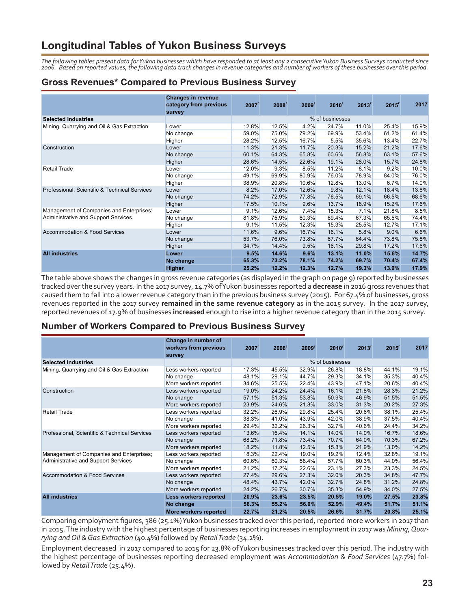# **Longitudinal Tables of Yukon Business Surveys**

*The following tables present data for Yukon businesses which have responded to at least any 2 consecutive Yukon Business Surveys conducted since 2006. Based on reported values, the following data track changes in revenue categories and number of workers of these businesses over this period.* 

## **Gross Revenues\* Compared to Previous Business Survey**

|                                               | <b>Changes in revenue</b><br>category from previous<br>survey | 2007 <sup>r</sup> | 2008 <sup>r</sup> | 2009 <sup>r</sup> | $2010^r$        | 2013 <sup>r</sup> | $2015$ <sup>r</sup> | 2017  |
|-----------------------------------------------|---------------------------------------------------------------|-------------------|-------------------|-------------------|-----------------|-------------------|---------------------|-------|
| <b>Selected Industries</b>                    |                                                               |                   |                   |                   | % of businesses |                   |                     |       |
| Mining, Quarrying and Oil & Gas Extraction    | Lower                                                         | 12.8%             | 12.5%             | 4.2%              | 24.7%           | 11.0%             | 25.4%               | 15.9% |
|                                               | No change                                                     | 59.0%             | 75.0%             | 79.2%             | 69.9%           | 53.4%             | 61.2%               | 61.4% |
|                                               | Higher                                                        | 28.2%             | 12.5%             | 16.7%             | 5.5%            | 35.6%             | 13.4%               | 22.7% |
| Construction                                  | Lower                                                         | 11.3%             | 21.3%             | 11.7%             | 20.3%           | 15.2%             | 21.2%               | 17.6% |
|                                               | No change                                                     | 60.1%             | 64.3%             | 65.8%             | 60.6%           | 56.8%             | 63.1%               | 57.6% |
|                                               | Higher                                                        | 28.6%             | 14.5%             | 22.6%             | 19.1%           | 28.0%             | 15.7%               | 24.8% |
| <b>Retail Trade</b>                           | Lower                                                         | 12.0%             | 9.3%              | 8.5%              | 11.2%           | 8.1%              | 9.2%                | 10.0% |
|                                               | No change                                                     | 49.1%             | 69.9%             | 80.9%             | 76.0%           | 78.9%             | 84.0%               | 76.0% |
|                                               | Higher                                                        | 38.9%             | 20.8%             | 10.6%             | 12.8%           | 13.0%             | 6.7%                | 14.0% |
| Professional, Scientific & Technical Services | Lower                                                         | 8.2%              | 17.0%             | 12.6%             | 9.8%            | 12.1%             | 18.4%               | 13.8% |
|                                               | No change                                                     | 74.2%             | 72.9%             | 77.8%             | 76.5%           | 69.1%             | 66.5%               | 68.6% |
|                                               | Higher                                                        | 17.5%             | 10.1%             | 9.6%              | 13.7%           | 18.9%             | 15.2%               | 17.6% |
| Management of Companies and Enterprises;      | Lower                                                         | 9.1%              | 12.6%             | 7.4%              | 15.3%           | 7.1%              | 21.8%               | 8.5%  |
| Administrative and Support Services           | No change                                                     | 81.8%             | 75.9%             | 80.3%             | 69.4%           | 67.3%             | 65.5%               | 74.4% |
|                                               | Higher                                                        | 9.1%              | 11.5%             | 12.3%             | 15.3%           | 25.5%             | 12.7%               | 17.1% |
| Accommodation & Food Services                 | Lower                                                         | 11.6%             | 9.6%              | 16.7%             | 16.1%           | 5.8%              | 9.0%                | 6.6%  |
|                                               | No change                                                     | 53.7%             | 76.0%             | 73.8%             | 67.7%           | 64.4%             | 73.8%               | 75.8% |
|                                               | Higher                                                        | 34.7%             | 14.4%             | 9.5%              | 16.1%           | 29.8%             | 17.2%               | 17.6% |
| <b>All industries</b>                         | Lower                                                         | 9.5%              | 14.6%             | 9.6%              | 13.1%           | 11.0%             | 15.6%               | 14.7% |
|                                               | No change                                                     | 65.3%             | 73.2%             | 78.1%             | 74.2%           | 69.7%             | 70.4%               | 67.4% |
|                                               | <b>Higher</b>                                                 | 25.2%             | 12.2%             | 12.3%             | 12.7%           | 19.3%             | 13.9%               | 17.9% |

The table above shows the changes in gross revenue categories (as displayed in the graph on page 9) reported by businesses tracked over the survey years. In the 2017 survey, 14.7% of Yukon businesses reported a **decrease** in 2016 gross revenues that caused them to fall into a lower revenue category than in the previous business survey (2015). For 67.4% of businesses, gross revenues reported in the 2017 survey **remained in the same revenue category** as in the 2015 survey. In the 2017 survey, reported revenues of 17.9% of businesses **increased** enough to rise into a higher revenue category than in the 2015 survey.

#### **Number of Workers Compared to Previous Business Survey**

|                                               | Change in number of<br>workers from previous<br>survey | $2007$ <sup>r</sup> | $2008^r$ | 2009 <sup>r</sup> | $2010^r$        | $2013$ <sup>r</sup> | $2015$ <sup>r</sup> | 2017  |
|-----------------------------------------------|--------------------------------------------------------|---------------------|----------|-------------------|-----------------|---------------------|---------------------|-------|
| <b>Selected Industries</b>                    |                                                        |                     |          |                   | % of businesses |                     |                     |       |
| Mining, Quarrying and Oil & Gas Extraction    | Less workers reported                                  | 17.3%               | 45.5%    | 32.9%             | 26.8%           | 18.8%               | 44.1%               | 19.1% |
|                                               | No change                                              | 48.1%               | 29.1%    | 44.7%             | 29.3%           | 34.1%               | 35.3%               | 40.4% |
|                                               | More workers reported                                  | 34.6%               | 25.5%    | 22.4%             | 43.9%           | 47.1%               | 20.6%               | 40.4% |
| Construction                                  | Less workers reported                                  | 19.0%               | 24.2%    | 24.4%             | 16.1%           | 21.8%               | 28.3%               | 21.2% |
|                                               | No change                                              | 57.1%               | 51.3%    | 53.8%             | 50.9%           | 46.9%               | 51.5%               | 51.5% |
|                                               | More workers reported                                  | 23.9%               | 24.6%    | 21.8%             | 33.0%           | 31.3%               | 20.2%               | 27.3% |
| <b>Retail Trade</b>                           | Less workers reported                                  | 32.2%               | 26.9%    | 29.8%             | 25.4%           | 20.6%               | 38.1%               | 25.4% |
|                                               | No change                                              | 38.3%               | 41.0%    | 43.9%             | 42.0%           | 38.9%               | 37.5%               | 40.4% |
|                                               | More workers reported                                  | 29.4%               | 32.2%    | 26.3%             | 32.7%           | 40.6%               | 24.4%               | 34.2% |
| Professional, Scientific & Technical Services | Less workers reported                                  | 13.6%               | 16.4%    | 14.1%             | 14.0%           | 14.0%               | 16.7%               | 18.6% |
|                                               | No change                                              | 68.2%               | 71.8%    | 73.4%             | 70.7%           | 64.0%               | 70.3%               | 67.2% |
|                                               | More workers reported                                  | 18.2%               | 11.8%    | 12.5%             | 15.3%           | 21.9%               | 13.0%               | 14.2% |
| Management of Companies and Enterprises;      | Less workers reported                                  | 18.3%               | 22.4%    | 19.0%             | 19.2%           | 12.4%               | 32.8%               | 19.1% |
| Administrative and Support Services           | No change                                              | 60.6%               | 60.3%    | 58.4%             | 57.7%           | 60.3%               | 44.0%               | 56.4% |
|                                               | More workers reported                                  | 21.2%               | 17.2%    | 22.6%             | 23.1%           | 27.3%               | 23.3%               | 24.5% |
| Accommodation & Food Services                 | Less workers reported                                  | 27.4%               | 29.6%    | 27.3%             | 32.0%           | 20.3%               | 34.8%               | 47.7% |
|                                               | No change                                              | 48.4%               | 43.7%    | 42.0%             | 32.7%           | 24.8%               | 31.2%               | 24.8% |
|                                               | More workers reported                                  | 24.2%               | 26.7%    | 30.7%             | 35.3%           | 54.9%               | 34.0%               | 27.5% |
| <b>All industries</b>                         | Less workers reported                                  | 20.9%               | 23.6%    | 23.5%             | 20.5%           | 19.0%               | 27.5%               | 23.8% |
|                                               | No change                                              | 56.3%               | 55.2%    | 56.0%             | 52.9%           | 49.4%               | 51.7%               | 51.1% |
|                                               | More workers reported                                  | 22.7%               | 21.2%    | 20.5%             | 26.6%           | 31.7%               | 20.8%               | 25.1% |

Comparing employment figures, 386 (25.1%) Yukon businesses tracked over this period, reported more workers in 2017 than in 2015. The industry with the highest percentage of businesses reporting increases in employment in 2017 was *Mining, Quarrying and Oil & Gas Extraction* (40.4%) followed by *Retail Trade* (34.2%).

Employment decreased in 2017 compared to 2015 for 23.8% of Yukon businesses tracked over this period. The industry with the highest percentage of businesses reporting decreased employment was *Accommodation & Food Services* (47.7%) followed by *Retail Trade* (25.4%).